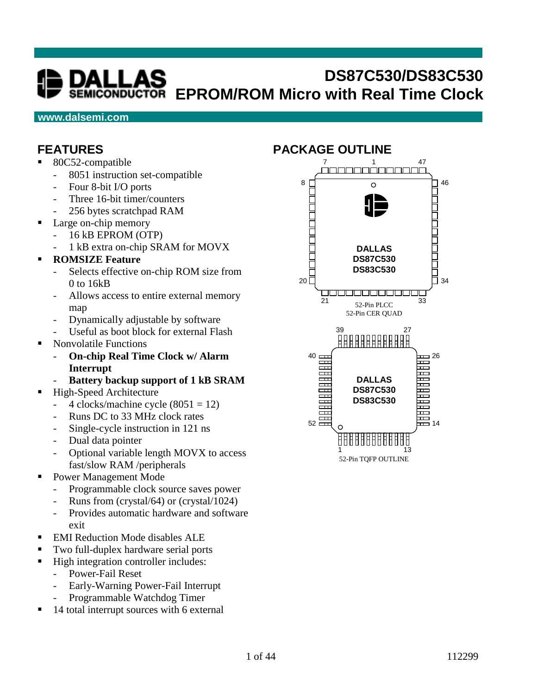# **DS87C530/DS83C530 EPROM/ROM Micro with Real Time Clock**

#### **www.dalsemi.com**

#### **FEATURES**

- 80C52-compatible
	- 8051 instruction set-compatible
	- Four 8-bit I/O ports
	- Three 16-bit timer/counters
	- 256 bytes scratchpad RAM
- Large on-chip memory
	- 16 kB EPROM (OTP)
	- 1 kB extra on-chip SRAM for MOVX

#### **ROMSIZE Feature**

- Selects effective on-chip ROM size from 0 to 16kB
- Allows access to entire external memory map
- Dynamically adjustable by software
- Useful as boot block for external Flash
- Nonvolatile Functions
	- **On-chip Real Time Clock w/ Alarm Interrupt**
	- Battery backup support of 1 kB SRAM
- High-Speed Architecture
	- 4 clocks/machine cycle  $(8051 = 12)$
	- Runs DC to 33 MHz clock rates
	- Single-cycle instruction in 121 ns
	- Dual data pointer
	- Optional variable length MOVX to access fast/slow RAM /peripherals
- Power Management Mode
	- Programmable clock source saves power
	- Runs from (crystal/64) or (crystal/1024)
	- Provides automatic hardware and software exit
- EMI Reduction Mode disables ALE
- Two full-duplex hardware serial ports
- High integration controller includes:
	- Power-Fail Reset
		- Early-Warning Power-Fail Interrupt
	- Programmable Watchdog Timer
- 14 total interrupt sources with 6 external

#### **PACKAGE OUTLINE**

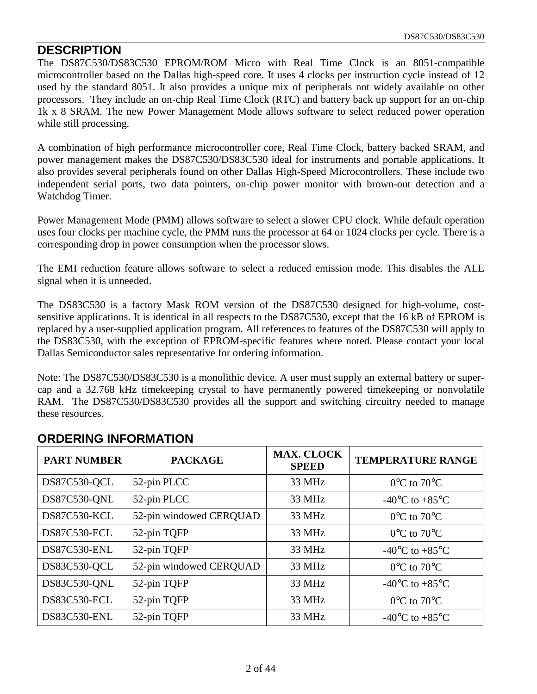#### **DESCRIPTION**

The DS87C530/DS83C530 EPROM/ROM Micro with Real Time Clock is an 8051-compatible microcontroller based on the Dallas high-speed core. It uses 4 clocks per instruction cycle instead of 12 used by the standard 8051. It also provides a unique mix of peripherals not widely available on other processors. They include an on-chip Real Time Clock (RTC) and battery back up support for an on-chip 1k x 8 SRAM. The new Power Management Mode allows software to select reduced power operation while still processing.

A combination of high performance microcontroller core, Real Time Clock, battery backed SRAM, and power management makes the DS87C530/DS83C530 ideal for instruments and portable applications. It also provides several peripherals found on other Dallas High-Speed Microcontrollers. These include two independent serial ports, two data pointers, on-chip power monitor with brown-out detection and a Watchdog Timer.

Power Management Mode (PMM) allows software to select a slower CPU clock. While default operation uses four clocks per machine cycle, the PMM runs the processor at 64 or 1024 clocks per cycle. There is a corresponding drop in power consumption when the processor slows.

The EMI reduction feature allows software to select a reduced emission mode. This disables the ALE signal when it is unneeded.

The DS83C530 is a factory Mask ROM version of the DS87C530 designed for high-volume, costsensitive applications. It is identical in all respects to the DS87C530, except that the 16 kB of EPROM is replaced by a user-supplied application program. All references to features of the DS87C530 will apply to the DS83C530, with the exception of EPROM-specific features where noted. Please contact your local Dallas Semiconductor sales representative for ordering information.

Note: The DS87C530/DS83C530 is a monolithic device. A user must supply an external battery or supercap and a 32.768 kHz timekeeping crystal to have permanently powered timekeeping or nonvolatile RAM. The DS87C530/DS83C530 provides all the support and switching circuitry needed to manage these resources.

| <b>PART NUMBER</b>  | <b>PACKAGE</b>          | <b>MAX. CLOCK</b><br><b>SPEED</b> | <b>TEMPERATURE RANGE</b>                     |
|---------------------|-------------------------|-----------------------------------|----------------------------------------------|
| DS87C530-QCL        | 52-pin PLCC             | 33 MHz                            | $0^{\circ}$ C to $70^{\circ}$ C              |
| DS87C530-QNL        | 52-pin PLCC             | 33 MHz                            | -40 $^{\circ}$ C to +85 $^{\circ}$ C         |
| <b>DS87C530-KCL</b> | 52-pin windowed CERQUAD | 33 MHz                            | $0^{\circ}$ C to $70^{\circ}$ C              |
| <b>DS87C530-ECL</b> | 52-pin TQFP             | 33 MHz                            | $0^{\circ}$ C to $70^{\circ}$ C              |
| <b>DS87C530-ENL</b> | 52-pin TQFP             | 33 MHz                            | -40 $^{\circ}$ C to +85 $^{\circ}$ C         |
| DS83C530-QCL        | 52-pin windowed CERQUAD | 33 MHz                            | $0^{\circ}$ C to $70^{\circ}$ C              |
| DS83C530-QNL        | 52-pin TQFP             | 33 MHz                            | -40 $^{\circ}$ C to +85 $^{\circ}$ C         |
| DS83C530-ECL        | 52-pin TQFP             | 33 MHz                            | $0^{\circ}$ C to $70^{\circ}$ C              |
| DS83C530-ENL        | 52-pin TQFP             | 33 MHz                            | -40 $\rm{^{\circ}C}$ to +85 $\rm{^{\circ}C}$ |

#### **ORDERING INFORMATION**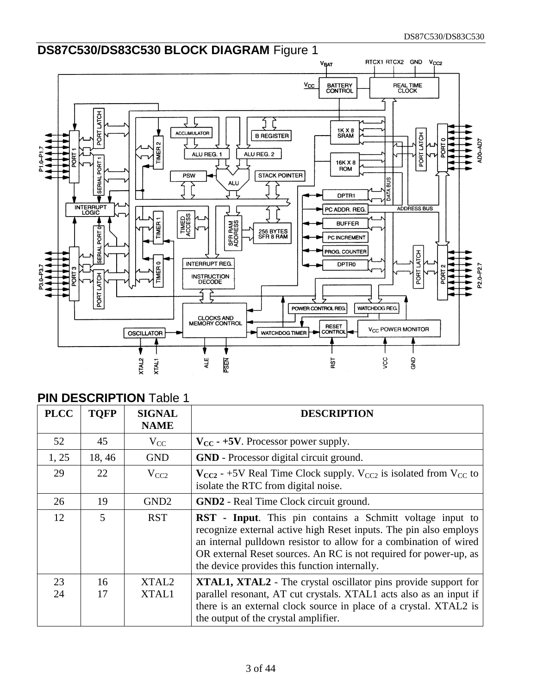

#### **PIN DESCRIPTION Table 1**

| <b>PLCC</b> | <b>TOFP</b> | <b>SIGNAL</b><br><b>NAME</b> | <b>DESCRIPTION</b>                                                                                                                                                                                                                                                                                                        |  |
|-------------|-------------|------------------------------|---------------------------------------------------------------------------------------------------------------------------------------------------------------------------------------------------------------------------------------------------------------------------------------------------------------------------|--|
| 52          | 45          | $V_{CC}$                     | $V_{CC}$ - +5V. Processor power supply.                                                                                                                                                                                                                                                                                   |  |
| 1, 25       | 18,46       | <b>GND</b>                   | <b>GND</b> - Processor digital circuit ground.                                                                                                                                                                                                                                                                            |  |
| 29          | 22          | $V_{CC2}$                    | $V_{CC2}$ - +5V Real Time Clock supply. $V_{CC2}$ is isolated from $V_{CC}$ to<br>isolate the RTC from digital noise.                                                                                                                                                                                                     |  |
| 26          | 19          | GND <sub>2</sub>             | <b>GND2</b> - Real Time Clock circuit ground.                                                                                                                                                                                                                                                                             |  |
| 12          | 5           | <b>RST</b>                   | RST - Input. This pin contains a Schmitt voltage input to<br>recognize external active high Reset inputs. The pin also employs<br>an internal pulldown resistor to allow for a combination of wired<br>OR external Reset sources. An RC is not required for power-up, as<br>the device provides this function internally. |  |
| 23<br>24    | 16<br>17    | XTAL <sub>2</sub><br>XTAL1   | <b>XTAL1, XTAL2</b> - The crystal oscillator pins provide support for<br>parallel resonant, AT cut crystals. XTAL1 acts also as an input if<br>there is an external clock source in place of a crystal. XTAL2 is<br>the output of the crystal amplifier.                                                                  |  |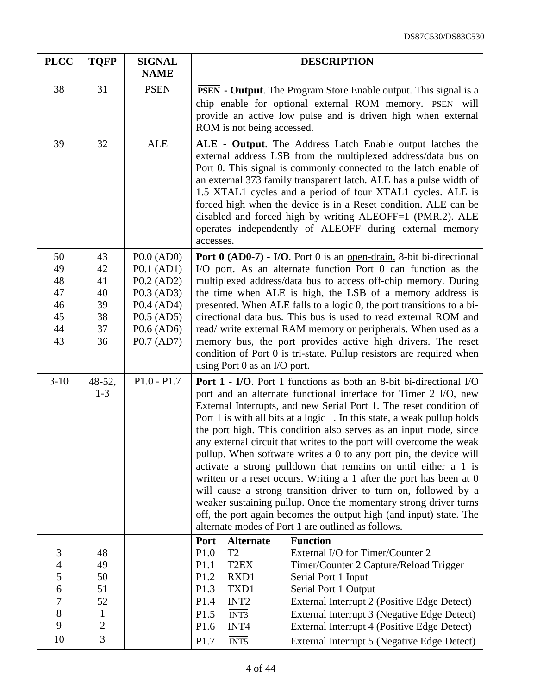| <b>PLCC</b>                                                                        | <b>TQFP</b>                                                       | <b>SIGNAL</b><br><b>NAME</b>                                                                         | <b>DESCRIPTION</b>                                                                                                                                                                                                                                                                                                                                                                                                                                                                                                                                                                                                                                                                                                                                                                                                                                                                                                          |  |  |  |
|------------------------------------------------------------------------------------|-------------------------------------------------------------------|------------------------------------------------------------------------------------------------------|-----------------------------------------------------------------------------------------------------------------------------------------------------------------------------------------------------------------------------------------------------------------------------------------------------------------------------------------------------------------------------------------------------------------------------------------------------------------------------------------------------------------------------------------------------------------------------------------------------------------------------------------------------------------------------------------------------------------------------------------------------------------------------------------------------------------------------------------------------------------------------------------------------------------------------|--|--|--|
| 38                                                                                 | 31                                                                | <b>PSEN</b>                                                                                          | <b>PSEN</b> - <b>Output</b> . The Program Store Enable output. This signal is a<br>chip enable for optional external ROM memory. PSEN will<br>provide an active low pulse and is driven high when external<br>ROM is not being accessed.                                                                                                                                                                                                                                                                                                                                                                                                                                                                                                                                                                                                                                                                                    |  |  |  |
| 39                                                                                 | 32                                                                | <b>ALE</b>                                                                                           | ALE - Output. The Address Latch Enable output latches the<br>external address LSB from the multiplexed address/data bus on<br>Port 0. This signal is commonly connected to the latch enable of<br>an external 373 family transparent latch. ALE has a pulse width of<br>1.5 XTAL1 cycles and a period of four XTAL1 cycles. ALE is<br>forced high when the device is in a Reset condition. ALE can be<br>disabled and forced high by writing ALEOFF=1 (PMR.2). ALE<br>operates independently of ALEOFF during external memory<br>accesses.                                                                                                                                                                                                                                                                                                                                                                                  |  |  |  |
| 50<br>49<br>48<br>47<br>46<br>45<br>44                                             | 43<br>42<br>41<br>40<br>39<br>38<br>37                            | P0.0 (AD0)<br>P0.1 (AD1)<br>P0.2 (AD2)<br>$P0.3$ (AD3)<br>P0.4 (AD4)<br>$P0.5$ (AD5)<br>$P0.6$ (AD6) | Port 0 (AD0-7) - I/O. Port 0 is an open-drain, 8-bit bi-directional<br>I/O port. As an alternate function Port 0 can function as the<br>multiplexed address/data bus to access off-chip memory. During<br>the time when ALE is high, the LSB of a memory address is<br>presented. When ALE falls to a logic 0, the port transitions to a bi-<br>directional data bus. This bus is used to read external ROM and<br>read/write external RAM memory or peripherals. When used as a                                                                                                                                                                                                                                                                                                                                                                                                                                            |  |  |  |
| 43                                                                                 | 36                                                                | P0.7 (AD7)                                                                                           | memory bus, the port provides active high drivers. The reset<br>condition of Port 0 is tri-state. Pullup resistors are required when<br>using Port 0 as an I/O port.                                                                                                                                                                                                                                                                                                                                                                                                                                                                                                                                                                                                                                                                                                                                                        |  |  |  |
| $3-10$                                                                             | $48-52,$<br>$1 - 3$                                               | $P1.0 - P1.7$                                                                                        | <b>Port 1 - I/O.</b> Port 1 functions as both an 8-bit bi-directional I/O<br>port and an alternate functional interface for Timer 2 I/O, new<br>External Interrupts, and new Serial Port 1. The reset condition of<br>Port 1 is with all bits at a logic 1. In this state, a weak pullup holds<br>the port high. This condition also serves as an input mode, since<br>any external circuit that writes to the port will overcome the weak<br>pullup. When software writes a 0 to any port pin, the device will<br>activate a strong pulldown that remains on until either a 1 is<br>written or a reset occurs. Writing a 1 after the port has been at 0<br>will cause a strong transition driver to turn on, followed by a<br>weaker sustaining pullup. Once the momentary strong driver turns<br>off, the port again becomes the output high (and input) state. The<br>alternate modes of Port 1 are outlined as follows. |  |  |  |
| 3<br>$\overline{4}$<br>5<br>$\overline{6}$<br>$\overline{7}$<br>$\,8\,$<br>9<br>10 | 48<br>49<br>50<br>51<br>52<br>$\mathbf{1}$<br>$\overline{c}$<br>3 |                                                                                                      | <b>Function</b><br>Port<br><b>Alternate</b><br>P1.0<br>T <sub>2</sub><br>External I/O for Timer/Counter 2<br>P1.1<br>T <sub>2</sub> EX<br>Timer/Counter 2 Capture/Reload Trigger<br>P1.2<br>RXD1<br>Serial Port 1 Input<br>P1.3<br>TXD1<br>Serial Port 1 Output<br>P1.4<br>INT <sub>2</sub><br>External Interrupt 2 (Positive Edge Detect)<br>INT3<br>P1.5<br>External Interrupt 3 (Negative Edge Detect)<br>P1.6<br>INT4<br>External Interrupt 4 (Positive Edge Detect)<br>$\overline{INT5}$<br>P1.7<br>External Interrupt 5 (Negative Edge Detect)                                                                                                                                                                                                                                                                                                                                                                        |  |  |  |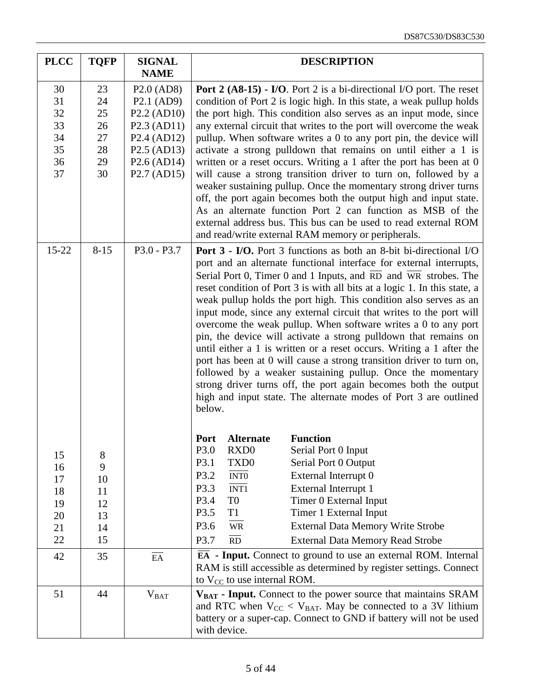| <b>PLCC</b>                                  | <b>TQFP</b>                                  | <b>SIGNAL</b><br><b>NAME</b>                                                                                                                                                                  | <b>DESCRIPTION</b>                                                                                                                                                                                                                                                                                                                                                                                                                                                                                                                                                                                                                                                                                                                                                                                                                                                                                                                                                         |  |  |  |
|----------------------------------------------|----------------------------------------------|-----------------------------------------------------------------------------------------------------------------------------------------------------------------------------------------------|----------------------------------------------------------------------------------------------------------------------------------------------------------------------------------------------------------------------------------------------------------------------------------------------------------------------------------------------------------------------------------------------------------------------------------------------------------------------------------------------------------------------------------------------------------------------------------------------------------------------------------------------------------------------------------------------------------------------------------------------------------------------------------------------------------------------------------------------------------------------------------------------------------------------------------------------------------------------------|--|--|--|
| 30<br>31<br>32<br>33<br>34<br>35<br>36<br>37 | 23<br>24<br>25<br>26<br>27<br>28<br>29<br>30 | P2.0 (AD8)<br>P <sub>2.1</sub> (AD <sub>9</sub> )<br>P2.2 (AD10)<br>P2.3 (AD11)<br>P <sub>2.4</sub> (AD <sub>12</sub> )<br>P <sub>2.5</sub> (AD <sub>13</sub> )<br>P2.6 (AD14)<br>P2.7 (AD15) | <b>Port 2 (A8-15) - I/O.</b> Port 2 is a bi-directional I/O port. The reset<br>condition of Port 2 is logic high. In this state, a weak pullup holds<br>the port high. This condition also serves as an input mode, since<br>any external circuit that writes to the port will overcome the weak<br>pullup. When software writes a 0 to any port pin, the device will<br>activate a strong pulldown that remains on until either a 1 is<br>written or a reset occurs. Writing a 1 after the port has been at 0<br>will cause a strong transition driver to turn on, followed by a<br>weaker sustaining pullup. Once the momentary strong driver turns<br>off, the port again becomes both the output high and input state.<br>As an alternate function Port 2 can function as MSB of the<br>external address bus. This bus can be used to read external ROM<br>and read/write external RAM memory or peripherals.                                                          |  |  |  |
| 15-22                                        | $8 - 15$                                     | $P3.0 - P3.7$                                                                                                                                                                                 | <b>Port 3 - I/O.</b> Port 3 functions as both an 8-bit bi-directional I/O<br>port and an alternate functional interface for external interrupts,<br>Serial Port 0, Timer 0 and 1 Inputs, and $\overline{RD}$ and $\overline{WR}$ strobes. The<br>reset condition of Port 3 is with all bits at a logic 1. In this state, a<br>weak pullup holds the port high. This condition also serves as an<br>input mode, since any external circuit that writes to the port will<br>overcome the weak pullup. When software writes a 0 to any port<br>pin, the device will activate a strong pulldown that remains on<br>until either a 1 is written or a reset occurs. Writing a 1 after the<br>port has been at 0 will cause a strong transition driver to turn on,<br>followed by a weaker sustaining pullup. Once the momentary<br>strong driver turns off, the port again becomes both the output<br>high and input state. The alternate modes of Port 3 are outlined<br>below. |  |  |  |
| 15<br>16<br>17<br>18<br>19<br>20<br>21<br>22 | 8<br>9<br>10<br>11<br>12<br>13<br>14<br>15   |                                                                                                                                                                                               | <b>Function</b><br><b>Alternate</b><br><b>Port</b><br>P3.0<br>RXD <sub>0</sub><br>Serial Port 0 Input<br>P3.1<br>TXD <sub>0</sub><br>Serial Port 0 Output<br>P3.2<br><b>INTO</b><br>External Interrupt 0<br>$\overline{INT1}$<br>P3.3<br>External Interrupt 1<br>P3.4<br>T <sub>0</sub><br>Timer 0 External Input<br>P3.5<br>T <sub>1</sub><br>Timer 1 External Input<br><b>External Data Memory Write Strobe</b><br>P3.6<br><b>WR</b><br>P3.7<br>$\overline{RD}$<br><b>External Data Memory Read Strobe</b>                                                                                                                                                                                                                                                                                                                                                                                                                                                               |  |  |  |
| 42                                           | 35                                           | $\mathop{\rm EA}\nolimits$                                                                                                                                                                    | $\overline{EA}$ - Input. Connect to ground to use an external ROM. Internal<br>RAM is still accessible as determined by register settings. Connect<br>to $V_{CC}$ to use internal ROM.                                                                                                                                                                                                                                                                                                                                                                                                                                                                                                                                                                                                                                                                                                                                                                                     |  |  |  |
| 51                                           | 44                                           | $V_{BAT}$                                                                                                                                                                                     | $V_{BAT}$ - Input. Connect to the power source that maintains SRAM<br>and RTC when $V_{CC}$ < $V_{BAT}$ . May be connected to a 3V lithium<br>battery or a super-cap. Connect to GND if battery will not be used<br>with device.                                                                                                                                                                                                                                                                                                                                                                                                                                                                                                                                                                                                                                                                                                                                           |  |  |  |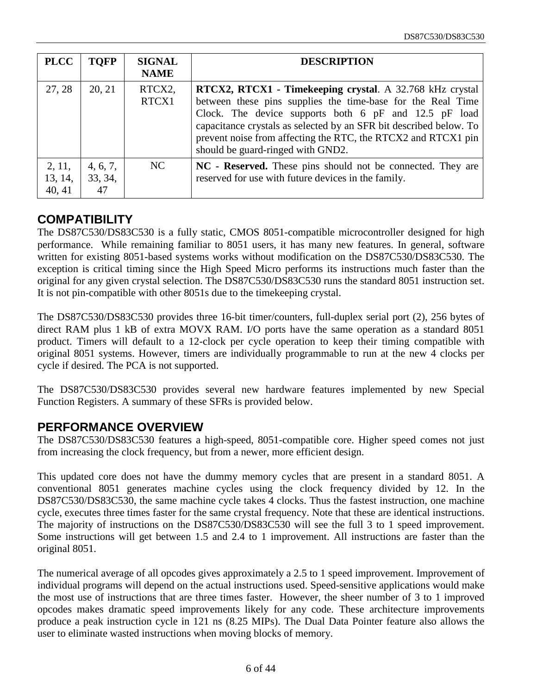| <b>PLCC</b>                 | <b>TOFP</b>               | <b>SIGNAL</b><br><b>NAME</b> | <b>DESCRIPTION</b>                                                                                                                                                                                                                                                                                                                                                   |
|-----------------------------|---------------------------|------------------------------|----------------------------------------------------------------------------------------------------------------------------------------------------------------------------------------------------------------------------------------------------------------------------------------------------------------------------------------------------------------------|
| 27, 28                      | 20, 21                    | RTCX2,<br>RTCX1              | <b>RTCX2, RTCX1 - Timekeeping crystal</b> . A 32.768 kHz crystal<br>between these pins supplies the time-base for the Real Time<br>Clock. The device supports both 6 pF and 12.5 pF load<br>capacitance crystals as selected by an SFR bit described below. To<br>prevent noise from affecting the RTC, the RTCX2 and RTCX1 pin<br>should be guard-ringed with GND2. |
| 2, 11,<br>13, 14,<br>40, 41 | 4, 6, 7,<br>33, 34,<br>47 | NC                           | NC - Reserved. These pins should not be connected. They are<br>reserved for use with future devices in the family.                                                                                                                                                                                                                                                   |

#### **COMPATIBILITY**

The DS87C530/DS83C530 is a fully static, CMOS 8051-compatible microcontroller designed for high performance. While remaining familiar to 8051 users, it has many new features. In general, software written for existing 8051-based systems works without modification on the DS87C530/DS83C530. The exception is critical timing since the High Speed Micro performs its instructions much faster than the original for any given crystal selection. The DS87C530/DS83C530 runs the standard 8051 instruction set. It is not pin-compatible with other 8051s due to the timekeeping crystal.

The DS87C530/DS83C530 provides three 16-bit timer/counters, full-duplex serial port (2), 256 bytes of direct RAM plus 1 kB of extra MOVX RAM. I/O ports have the same operation as a standard 8051 product. Timers will default to a 12-clock per cycle operation to keep their timing compatible with original 8051 systems. However, timers are individually programmable to run at the new 4 clocks per cycle if desired. The PCA is not supported.

The DS87C530/DS83C530 provides several new hardware features implemented by new Special Function Registers. A summary of these SFRs is provided below.

#### **PERFORMANCE OVERVIEW**

The DS87C530/DS83C530 features a high-speed, 8051-compatible core. Higher speed comes not just from increasing the clock frequency, but from a newer, more efficient design.

This updated core does not have the dummy memory cycles that are present in a standard 8051. A conventional 8051 generates machine cycles using the clock frequency divided by 12. In the DS87C530/DS83C530, the same machine cycle takes 4 clocks. Thus the fastest instruction, one machine cycle, executes three times faster for the same crystal frequency. Note that these are identical instructions. The majority of instructions on the DS87C530/DS83C530 will see the full 3 to 1 speed improvement. Some instructions will get between 1.5 and 2.4 to 1 improvement. All instructions are faster than the original 8051.

The numerical average of all opcodes gives approximately a 2.5 to 1 speed improvement. Improvement of individual programs will depend on the actual instructions used. Speed-sensitive applications would make the most use of instructions that are three times faster. However, the sheer number of 3 to 1 improved opcodes makes dramatic speed improvements likely for any code. These architecture improvements produce a peak instruction cycle in 121 ns (8.25 MIPs). The Dual Data Pointer feature also allows the user to eliminate wasted instructions when moving blocks of memory.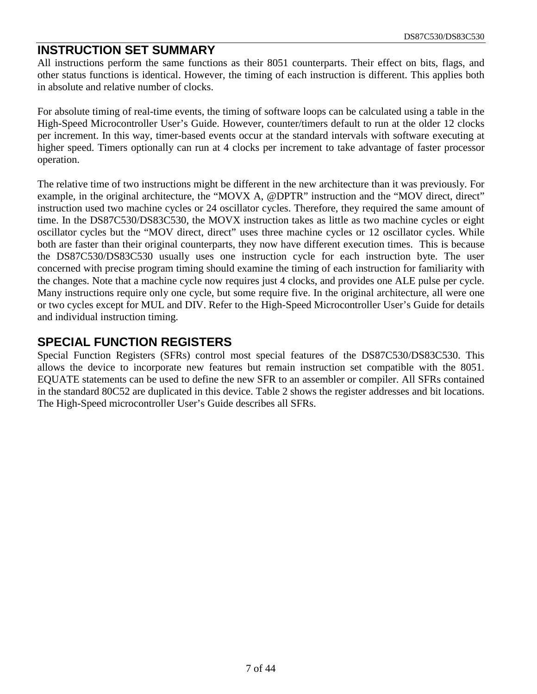#### **INSTRUCTION SET SUMMARY**

All instructions perform the same functions as their 8051 counterparts. Their effect on bits, flags, and other status functions is identical. However, the timing of each instruction is different. This applies both in absolute and relative number of clocks.

For absolute timing of real-time events, the timing of software loops can be calculated using a table in the High-Speed Microcontroller User's Guide. However, counter/timers default to run at the older 12 clocks per increment. In this way, timer-based events occur at the standard intervals with software executing at higher speed. Timers optionally can run at 4 clocks per increment to take advantage of faster processor operation.

The relative time of two instructions might be different in the new architecture than it was previously. For example, in the original architecture, the "MOVX A, @DPTR" instruction and the "MOV direct, direct" instruction used two machine cycles or 24 oscillator cycles. Therefore, they required the same amount of time. In the DS87C530/DS83C530, the MOVX instruction takes as little as two machine cycles or eight oscillator cycles but the "MOV direct, direct" uses three machine cycles or 12 oscillator cycles. While both are faster than their original counterparts, they now have different execution times. This is because the DS87C530/DS83C530 usually uses one instruction cycle for each instruction byte. The user concerned with precise program timing should examine the timing of each instruction for familiarity with the changes. Note that a machine cycle now requires just 4 clocks, and provides one ALE pulse per cycle. Many instructions require only one cycle, but some require five. In the original architecture, all were one or two cycles except for MUL and DIV. Refer to the High-Speed Microcontroller User's Guide for details and individual instruction timing.

#### **SPECIAL FUNCTION REGISTERS**

Special Function Registers (SFRs) control most special features of the DS87C530/DS83C530. This allows the device to incorporate new features but remain instruction set compatible with the 8051. EQUATE statements can be used to define the new SFR to an assembler or compiler. All SFRs contained in the standard 80C52 are duplicated in this device. Table 2 shows the register addresses and bit locations. The High-Speed microcontroller User's Guide describes all SFRs.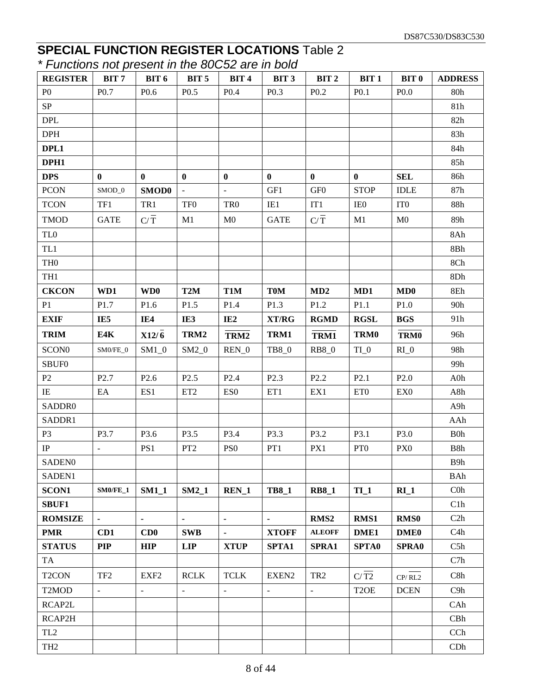#### **SPECIAL FUNCTION REGISTER LOCATIONS** Table 2 *\* Functions not present in the 80C52 are in bold*

| <i>Parolions not prosont in the occupation in bold</i> |                               |                    |                          |                  |                          |                                    |                   |                  |                  |
|--------------------------------------------------------|-------------------------------|--------------------|--------------------------|------------------|--------------------------|------------------------------------|-------------------|------------------|------------------|
| <b>REGISTER</b>                                        | BIT <sub>7</sub>              | BIT 6              | BIT <sub>5</sub>         | BIT <sub>4</sub> | BIT <sub>3</sub>         | BIT <sub>2</sub>                   | BIT <sub>1</sub>  | BIT <sub>0</sub> | <b>ADDRESS</b>   |
| P <sub>0</sub>                                         | P <sub>0.7</sub>              | P <sub>0.6</sub>   | P <sub>0.5</sub>         | P <sub>0.4</sub> | P <sub>0.3</sub>         | P <sub>0.2</sub>                   | P <sub>0.1</sub>  | P <sub>0.0</sub> | 80h              |
| SP                                                     |                               |                    |                          |                  |                          |                                    |                   |                  | 81h              |
| <b>DPL</b>                                             |                               |                    |                          |                  |                          |                                    |                   |                  | 82h              |
| <b>DPH</b>                                             |                               |                    |                          |                  |                          |                                    |                   |                  | 83h              |
| DPL1                                                   |                               |                    |                          |                  |                          |                                    |                   |                  | 84h              |
| DPH1                                                   |                               |                    |                          |                  |                          |                                    |                   |                  | 85h              |
| <b>DPS</b>                                             | $\bf{0}$                      | $\bf{0}$           | $\mathbf{0}$             | $\bf{0}$         | $\bf{0}$                 | $\bf{0}$                           | $\bf{0}$          | <b>SEL</b>       | 86h              |
| <b>PCON</b>                                            | $SMOD_0$                      | SMOD0              | $\equiv$                 | $\omega$         | GF1                      | $\mbox{GF}0$                       | <b>STOP</b>       | <b>IDLE</b>      | 87h              |
| <b>TCON</b>                                            | TF1                           | TR1                | TF <sub>0</sub>          | TR <sub>0</sub>  | IE1                      | IT1                                | IE0               | IT <sub>0</sub>  | 88h              |
| <b>TMOD</b>                                            | <b>GATE</b>                   | $C/\overline{T}$   | M1                       | M <sub>0</sub>   | <b>GATE</b>              | $\mathbf{C}/\overline{\mathbf{T}}$ | M1                | M <sub>0</sub>   | 89h              |
| TL <sub>0</sub>                                        |                               |                    |                          |                  |                          |                                    |                   |                  | 8Ah              |
| TL1                                                    |                               |                    |                          |                  |                          |                                    |                   |                  | 8Bh              |
| TH <sub>0</sub>                                        |                               |                    |                          |                  |                          |                                    |                   |                  | 8Ch              |
| TH1                                                    |                               |                    |                          |                  |                          |                                    |                   |                  | 8Dh              |
| <b>CKCON</b>                                           | WD1                           | WD <sub>0</sub>    | T <sub>2</sub> M         | T1M              | <b>T0M</b>               | MD2                                | MD1               | MD0              | $8\mathrm{Eh}$   |
| P1                                                     | P1.7                          | P1.6               | P1.5                     | P1.4             | P1.3                     | P1.2                               | P1.1              | P1.0             | 90h              |
| <b>EXIF</b>                                            | IE <sub>5</sub>               | IE4                | IE3                      | IE2              | XT/RG                    | <b>RGMD</b>                        | <b>RGSL</b>       | <b>BGS</b>       | 91h              |
| <b>TRIM</b>                                            | E4K                           | $X12/\overline{6}$ | TRM2                     | TRM2             | TRM1                     | TRM1                               | TRM0              | TRM0             | 96h              |
| SCON <sub>0</sub>                                      | $\mathrm{SM0/FE}\_\mathrm{0}$ | $SM1_0$            | $SM2_0$                  | $REN_0$          | TB8_0                    | <b>RB8_0</b>                       | $TI_0$            | $RI_0$           | 98h              |
| SBUF0                                                  |                               |                    |                          |                  |                          |                                    |                   |                  | 99h              |
| P2                                                     | P <sub>2.7</sub>              | P <sub>2.6</sub>   | P <sub>2.5</sub>         | P <sub>2.4</sub> | P <sub>2.3</sub>         | P <sub>2.2</sub>                   | P2.1              | P2.0             | A0h              |
| IE                                                     | EA                            | ES1                | ET <sub>2</sub>          | ES <sub>0</sub>  | ET1                      | EX1                                | ET <sub>0</sub>   | EX <sub>0</sub>  | A8h              |
| SADDR0                                                 |                               |                    |                          |                  |                          |                                    |                   |                  | A9h              |
| SADDR1                                                 |                               |                    |                          |                  |                          |                                    |                   |                  | AAh              |
| P <sub>3</sub>                                         | P3.7                          | P3.6               | P3.5                     | P3.4             | P3.3                     | P3.2                               | P3.1              | P3.0             | B0h              |
| $\rm IP$                                               | $\blacksquare$                | PS1                | PT <sub>2</sub>          | PS <sub>0</sub>  | PT1                      | PX1                                | PT <sub>0</sub>   | PX <sub>0</sub>  | B8h              |
| SADEN <sub>0</sub>                                     |                               |                    |                          |                  |                          |                                    |                   |                  | B9h              |
| SADEN1                                                 |                               |                    |                          |                  |                          |                                    |                   |                  | <b>BAh</b>       |
| <b>SCON1</b>                                           | $SM0/FE_1$                    | $SM1_1$            | $SM2_1$                  | REN <sub>1</sub> | <b>TB8_1</b>             | <b>RB8_1</b>                       | TL1               | $RI_1$           | $C0$ h           |
| SBUF1                                                  |                               |                    |                          |                  |                          |                                    |                   |                  | C1h              |
| <b>ROMSIZE</b>                                         | $\blacksquare$                | ÷.                 | $\blacksquare$           | $\blacksquare$   | $\blacksquare$           | RMS <sub>2</sub>                   | RMS1              | <b>RMS0</b>      | C2h              |
| <b>PMR</b>                                             | CD1                           | CD0                | <b>SWB</b>               | $\blacksquare$   | <b>XTOFF</b>             | <b>ALEOFF</b>                      | DME1              | <b>DME0</b>      | C <sub>4</sub> h |
| <b>STATUS</b>                                          | <b>PIP</b>                    | <b>HIP</b>         | <b>LIP</b>               | <b>XTUP</b>      | SPTA1                    | SPRA1                              | <b>SPTA0</b>      | <b>SPRA0</b>     | C5h              |
| <b>TA</b>                                              |                               |                    |                          |                  |                          |                                    |                   |                  | C7h              |
| T <sub>2</sub> CON                                     | TF <sub>2</sub>               | EXF <sub>2</sub>   | <b>RCLK</b>              | <b>TCLK</b>      | EXEN2                    | TR <sub>2</sub>                    | C/T2              | CP/RL2           | C8h              |
| T <sub>2</sub> MOD                                     | $\omega$                      | $\Box$             | $\overline{\phantom{a}}$ | $\Box$           | $\overline{\phantom{a}}$ | $\Box$                             | T <sub>2</sub> OE | <b>DCEN</b>      | C9h              |
| RCAP2L                                                 |                               |                    |                          |                  |                          |                                    |                   |                  | CAh              |
| RCAP2H                                                 |                               |                    |                          |                  |                          |                                    |                   |                  | CBh              |
| TL <sub>2</sub>                                        |                               |                    |                          |                  |                          |                                    |                   |                  | CCh              |
| TH <sub>2</sub>                                        |                               |                    |                          |                  |                          |                                    |                   |                  | CDh              |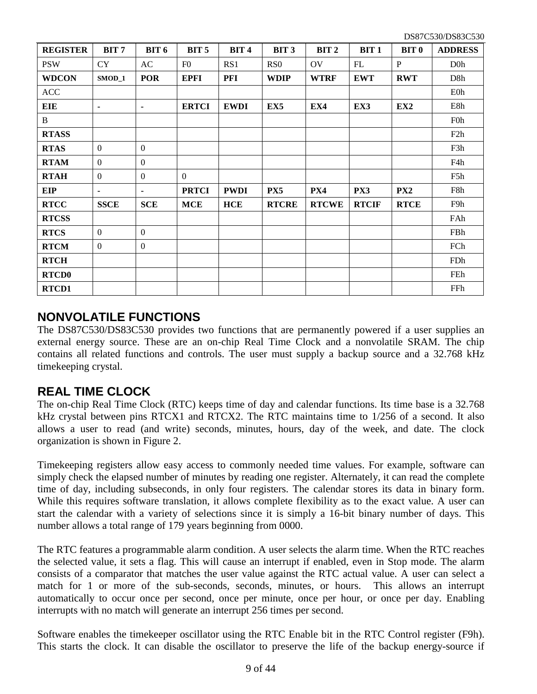| <b>REGISTER</b> | BIT <sub>7</sub> | <b>BIT 6</b>     | BIT <sub>5</sub> | <b>BIT 4</b>    | BIT <sub>3</sub> | BIT <sub>2</sub> | BIT <sub>1</sub> | BIT <sub>0</sub> | <b>ADDRESS</b>   |
|-----------------|------------------|------------------|------------------|-----------------|------------------|------------------|------------------|------------------|------------------|
| <b>PSW</b>      | <b>CY</b>        | AC               | F <sub>0</sub>   | RS <sub>1</sub> | R <sub>S</sub> O | <b>OV</b>        | FL               | $\mathbf{P}$     | D <sub>0</sub> h |
| <b>WDCON</b>    | $SMOD_1$         | <b>POR</b>       | <b>EPFI</b>      | PFI             | <b>WDIP</b>      | <b>WTRF</b>      | <b>EWT</b>       | <b>RWT</b>       | D <sub>8</sub> h |
| <b>ACC</b>      |                  |                  |                  |                 |                  |                  |                  |                  | <b>E0h</b>       |
| <b>EIE</b>      | ٠                | ٠                | <b>ERTCI</b>     | <b>EWDI</b>     | EX <sub>5</sub>  | EX4              | EX3              | EX <sub>2</sub>  | E8h              |
| B               |                  |                  |                  |                 |                  |                  |                  |                  | F <sub>0</sub> h |
| <b>RTASS</b>    |                  |                  |                  |                 |                  |                  |                  |                  | F2h              |
| <b>RTAS</b>     | $\overline{0}$   | $\mathbf{0}$     |                  |                 |                  |                  |                  |                  | F3h              |
| <b>RTAM</b>     | $\theta$         | $\theta$         |                  |                 |                  |                  |                  |                  | F4h              |
| <b>RTAH</b>     | $\boldsymbol{0}$ | $\theta$         | $\Omega$         |                 |                  |                  |                  |                  | F5h              |
| <b>EIP</b>      | $\blacksquare$   | $\blacksquare$   | <b>PRTCI</b>     | <b>PWDI</b>     | PX5              | PX4              | PX3              | PX <sub>2</sub>  | F8h              |
| <b>RTCC</b>     | <b>SSCE</b>      | <b>SCE</b>       | <b>MCE</b>       | <b>HCE</b>      | <b>RTCRE</b>     | <b>RTCWE</b>     | <b>RTCIF</b>     | <b>RTCE</b>      | F9h              |
| <b>RTCSS</b>    |                  |                  |                  |                 |                  |                  |                  |                  | FAh              |
| <b>RTCS</b>     | $\overline{0}$   | $\boldsymbol{0}$ |                  |                 |                  |                  |                  |                  | FBh              |
| <b>RTCM</b>     | $\boldsymbol{0}$ | $\boldsymbol{0}$ |                  |                 |                  |                  |                  |                  | FCh              |
| <b>RTCH</b>     |                  |                  |                  |                 |                  |                  |                  |                  | FDh              |
| <b>RTCD0</b>    |                  |                  |                  |                 |                  |                  |                  |                  | FEh              |
| RTCD1           |                  |                  |                  |                 |                  |                  |                  |                  | FFh              |

#### **NONVOLATILE FUNCTIONS**

The DS87C530/DS83C530 provides two functions that are permanently powered if a user supplies an external energy source. These are an on-chip Real Time Clock and a nonvolatile SRAM. The chip contains all related functions and controls. The user must supply a backup source and a 32.768 kHz timekeeping crystal.

#### **REAL TIME CLOCK**

The on-chip Real Time Clock (RTC) keeps time of day and calendar functions. Its time base is a 32.768 kHz crystal between pins RTCX1 and RTCX2. The RTC maintains time to 1/256 of a second. It also allows a user to read (and write) seconds, minutes, hours, day of the week, and date. The clock organization is shown in Figure 2.

Timekeeping registers allow easy access to commonly needed time values. For example, software can simply check the elapsed number of minutes by reading one register. Alternately, it can read the complete time of day, including subseconds, in only four registers. The calendar stores its data in binary form. While this requires software translation, it allows complete flexibility as to the exact value. A user can start the calendar with a variety of selections since it is simply a 16-bit binary number of days. This number allows a total range of 179 years beginning from 0000.

The RTC features a programmable alarm condition. A user selects the alarm time. When the RTC reaches the selected value, it sets a flag. This will cause an interrupt if enabled, even in Stop mode. The alarm consists of a comparator that matches the user value against the RTC actual value. A user can select a match for 1 or more of the sub-seconds, seconds, minutes, or hours. This allows an interrupt automatically to occur once per second, once per minute, once per hour, or once per day. Enabling interrupts with no match will generate an interrupt 256 times per second.

Software enables the timekeeper oscillator using the RTC Enable bit in the RTC Control register (F9h). This starts the clock. It can disable the oscillator to preserve the life of the backup energy-source if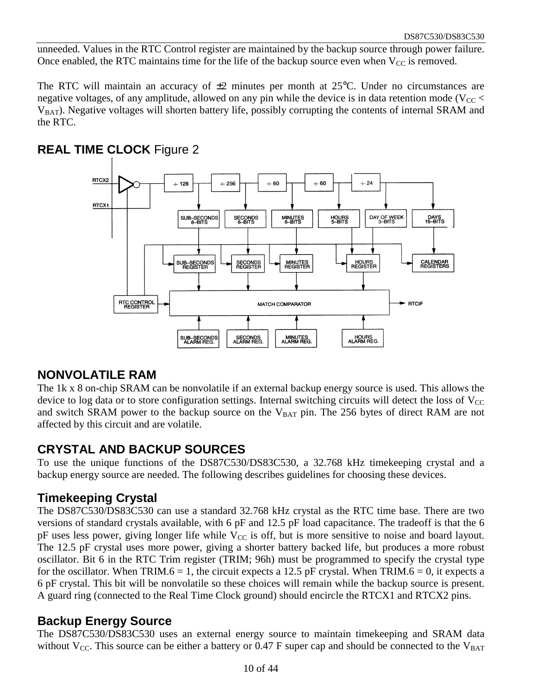unneeded. Values in the RTC Control register are maintained by the backup source through power failure. Once enabled, the RTC maintains time for the life of the backup source even when  $V_{CC}$  is removed.

The RTC will maintain an accuracy of  $\pm 2$  minutes per month at 25°C. Under no circumstances are negative voltages, of any amplitude, allowed on any pin while the device is in data retention mode ( $V_{CC}$  <  $V<sub>BAT</sub>$ ). Negative voltages will shorten battery life, possibly corrupting the contents of internal SRAM and the RTC.



#### **REAL TIME CLOCK** Figure 2

#### **NONVOLATILE RAM**

The 1k x 8 on-chip SRAM can be nonvolatile if an external backup energy source is used. This allows the device to log data or to store configuration settings. Internal switching circuits will detect the loss of  $V_{CC}$ and switch SRAM power to the backup source on the  $V_{BAT}$  pin. The 256 bytes of direct RAM are not affected by this circuit and are volatile.

#### **CRYSTAL AND BACKUP SOURCES**

To use the unique functions of the DS87C530/DS83C530, a 32.768 kHz timekeeping crystal and a backup energy source are needed. The following describes guidelines for choosing these devices.

#### **Timekeeping Crystal**

The DS87C530/DS83C530 can use a standard 32.768 kHz crystal as the RTC time base. There are two versions of standard crystals available, with 6 pF and 12.5 pF load capacitance. The tradeoff is that the 6  $pF$  uses less power, giving longer life while  $V_{CC}$  is off, but is more sensitive to noise and board layout. The 12.5 pF crystal uses more power, giving a shorter battery backed life, but produces a more robust oscillator. Bit 6 in the RTC Trim register (TRIM; 96h) must be programmed to specify the crystal type for the oscillator. When TRIM.6 = 1, the circuit expects a 12.5 pF crystal. When TRIM.6 = 0, it expects a 6 pF crystal. This bit will be nonvolatile so these choices will remain while the backup source is present. A guard ring (connected to the Real Time Clock ground) should encircle the RTCX1 and RTCX2 pins.

#### **Backup Energy Source**

The DS87C530/DS83C530 uses an external energy source to maintain timekeeping and SRAM data without  $V_{CC}$ . This source can be either a battery or 0.47 F super cap and should be connected to the  $V_{BAT}$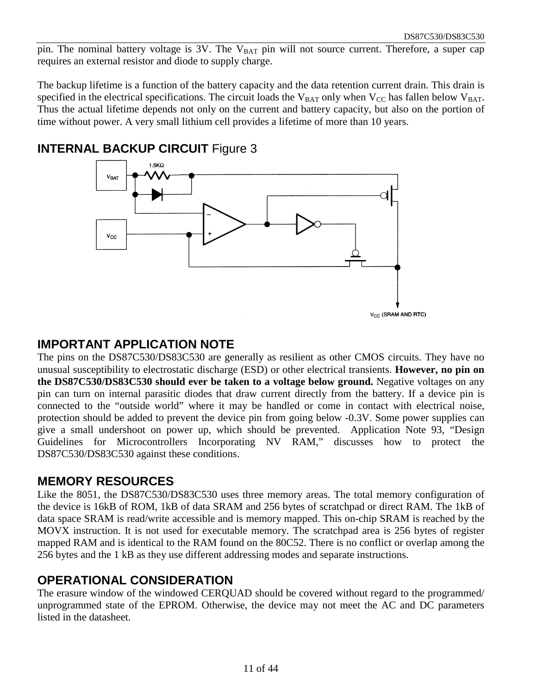pin. The nominal battery voltage is  $3\overline{V}$ . The  $V_{BAT}$  pin will not source current. Therefore, a super cap requires an external resistor and diode to supply charge.

The backup lifetime is a function of the battery capacity and the data retention current drain. This drain is specified in the electrical specifications. The circuit loads the  $V_{BAT}$  only when  $V_{CC}$  has fallen below  $V_{BAT}$ . Thus the actual lifetime depends not only on the current and battery capacity, but also on the portion of time without power. A very small lithium cell provides a lifetime of more than 10 years.



#### **INTERNAL BACKUP CIRCUIT Figure 3**

#### **IMPORTANT APPLICATION NOTE**

The pins on the DS87C530/DS83C530 are generally as resilient as other CMOS circuits. They have no unusual susceptibility to electrostatic discharge (ESD) or other electrical transients. **However, no pin on the DS87C530/DS83C530 should ever be taken to a voltage below ground.** Negative voltages on any pin can turn on internal parasitic diodes that draw current directly from the battery. If a device pin is connected to the "outside world" where it may be handled or come in contact with electrical noise, protection should be added to prevent the device pin from going below -0.3V. Some power supplies can give a small undershoot on power up, which should be prevented. Application Note 93, "Design Guidelines for Microcontrollers Incorporating NV RAM," discusses how to protect the DS87C530/DS83C530 against these conditions.

#### **MEMORY RESOURCES**

Like the 8051, the DS87C530/DS83C530 uses three memory areas. The total memory configuration of the device is 16kB of ROM, 1kB of data SRAM and 256 bytes of scratchpad or direct RAM. The 1kB of data space SRAM is read/write accessible and is memory mapped. This on-chip SRAM is reached by the MOVX instruction. It is not used for executable memory. The scratchpad area is 256 bytes of register mapped RAM and is identical to the RAM found on the 80C52. There is no conflict or overlap among the 256 bytes and the 1 kB as they use different addressing modes and separate instructions.

#### **OPERATIONAL CONSIDERATION**

The erasure window of the windowed CERQUAD should be covered without regard to the programmed/ unprogrammed state of the EPROM. Otherwise, the device may not meet the AC and DC parameters listed in the datasheet.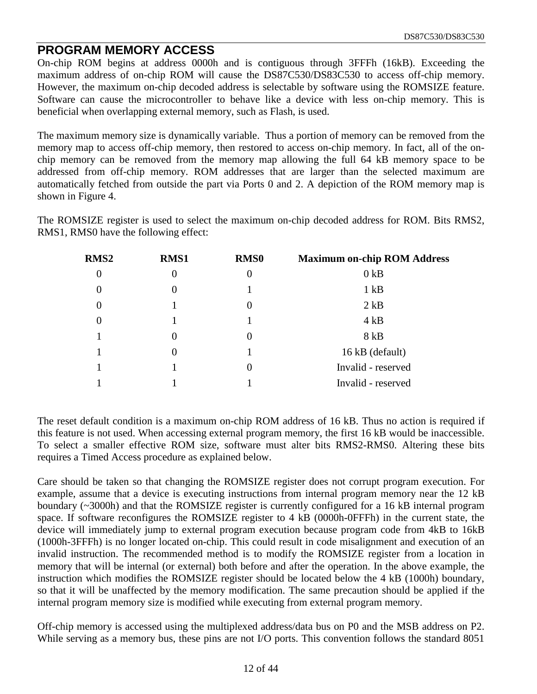#### **PROGRAM MEMORY ACCESS**

On-chip ROM begins at address 0000h and is contiguous through 3FFFh (16kB). Exceeding the maximum address of on-chip ROM will cause the DS87C530/DS83C530 to access off-chip memory. However, the maximum on-chip decoded address is selectable by software using the ROMSIZE feature. Software can cause the microcontroller to behave like a device with less on-chip memory. This is beneficial when overlapping external memory, such as Flash, is used.

The maximum memory size is dynamically variable. Thus a portion of memory can be removed from the memory map to access off-chip memory, then restored to access on-chip memory. In fact, all of the onchip memory can be removed from the memory map allowing the full 64 kB memory space to be addressed from off-chip memory. ROM addresses that are larger than the selected maximum are automatically fetched from outside the part via Ports 0 and 2. A depiction of the ROM memory map is shown in Figure 4.

The ROMSIZE register is used to select the maximum on-chip decoded address for ROM. Bits RMS2, RMS1, RMS0 have the following effect:

| RMS <sub>2</sub> | <b>RMS1</b> | <b>RMS0</b> | <b>Maximum on-chip ROM Address</b> |
|------------------|-------------|-------------|------------------------------------|
| $\boldsymbol{0}$ | 0           | 0           | 0 <sub>k</sub> B                   |
| $\overline{0}$   | 0           |             | $1$ $kB$                           |
| $\overline{0}$   |             |             | $2$ kB                             |
| $\overline{0}$   |             |             | 4kB                                |
|                  | $\theta$    |             | 8 kB                               |
|                  | 0           |             | 16 kB (default)                    |
|                  |             |             | Invalid - reserved                 |
|                  |             |             | Invalid - reserved                 |

The reset default condition is a maximum on-chip ROM address of 16 kB. Thus no action is required if this feature is not used. When accessing external program memory, the first 16 kB would be inaccessible. To select a smaller effective ROM size, software must alter bits RMS2-RMS0. Altering these bits requires a Timed Access procedure as explained below.

Care should be taken so that changing the ROMSIZE register does not corrupt program execution. For example, assume that a device is executing instructions from internal program memory near the 12 kB boundary (~3000h) and that the ROMSIZE register is currently configured for a 16 kB internal program space. If software reconfigures the ROMSIZE register to 4 kB (0000h-0FFFh) in the current state, the device will immediately jump to external program execution because program code from 4kB to 16kB (1000h-3FFFh) is no longer located on-chip. This could result in code misalignment and execution of an invalid instruction. The recommended method is to modify the ROMSIZE register from a location in memory that will be internal (or external) both before and after the operation. In the above example, the instruction which modifies the ROMSIZE register should be located below the 4 kB (1000h) boundary, so that it will be unaffected by the memory modification. The same precaution should be applied if the internal program memory size is modified while executing from external program memory.

Off-chip memory is accessed using the multiplexed address/data bus on P0 and the MSB address on P2. While serving as a memory bus, these pins are not I/O ports. This convention follows the standard 8051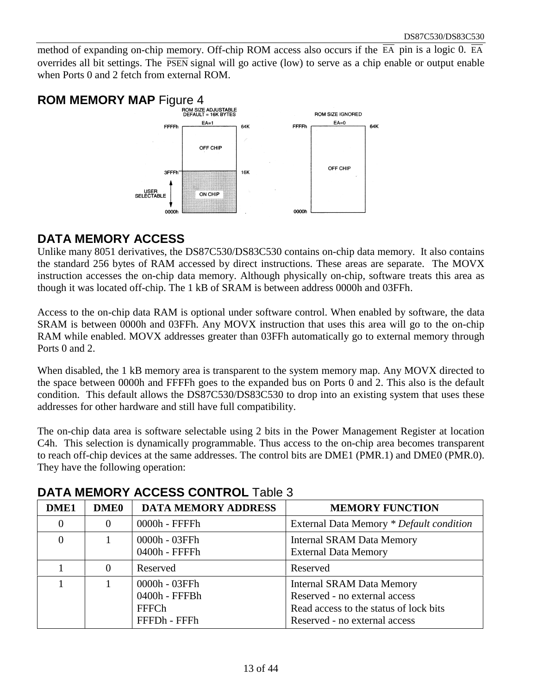method of expanding on-chip memory. Off-chip ROM access also occurs if the  $\overline{EA}$  pin is a logic 0.  $\overline{EA}$ overrides all bit settings. The  $\overline{PSEN}$  signal will go active (low) to serve as a chip enable or output enable when Ports 0 and 2 fetch from external ROM.



#### **DATA MEMORY ACCESS**

Unlike many 8051 derivatives, the DS87C530/DS83C530 contains on-chip data memory. It also contains the standard 256 bytes of RAM accessed by direct instructions. These areas are separate. The MOVX instruction accesses the on-chip data memory. Although physically on-chip, software treats this area as though it was located off-chip. The 1 kB of SRAM is between address 0000h and 03FFh.

Access to the on-chip data RAM is optional under software control. When enabled by software, the data SRAM is between 0000h and 03FFh. Any MOVX instruction that uses this area will go to the on-chip RAM while enabled. MOVX addresses greater than 03FFh automatically go to external memory through Ports 0 and 2.

When disabled, the 1 kB memory area is transparent to the system memory map. Any MOVX directed to the space between 0000h and FFFFh goes to the expanded bus on Ports 0 and 2. This also is the default condition. This default allows the DS87C530/DS83C530 to drop into an existing system that uses these addresses for other hardware and still have full compatibility.

The on-chip data area is software selectable using 2 bits in the Power Management Register at location C4h. This selection is dynamically programmable. Thus access to the on-chip area becomes transparent to reach off-chip devices at the same addresses. The control bits are DME1 (PMR.1) and DME0 (PMR.0). They have the following operation:

| DME1     | <b>DME0</b> | <b>DATA MEMORY ADDRESS</b>                                     | <b>MEMORY FUNCTION</b>                                                                                                                       |
|----------|-------------|----------------------------------------------------------------|----------------------------------------------------------------------------------------------------------------------------------------------|
| $\theta$ | $\Omega$    | $0000h$ - FFFF $h$                                             | External Data Memory * Default condition                                                                                                     |
| $\theta$ |             | 0000h - 03FFh<br>0400h - FFFFh                                 | <b>Internal SRAM Data Memory</b><br><b>External Data Memory</b>                                                                              |
|          | $\Omega$    | Reserved                                                       | Reserved                                                                                                                                     |
|          |             | 0000h - 03FFh<br>0400h - FFFBh<br><b>FFFCh</b><br>FFFDh - FFFh | <b>Internal SRAM Data Memory</b><br>Reserved - no external access<br>Read access to the status of lock bits<br>Reserved - no external access |

#### **DATA MEMORY ACCESS CONTROL** Table 3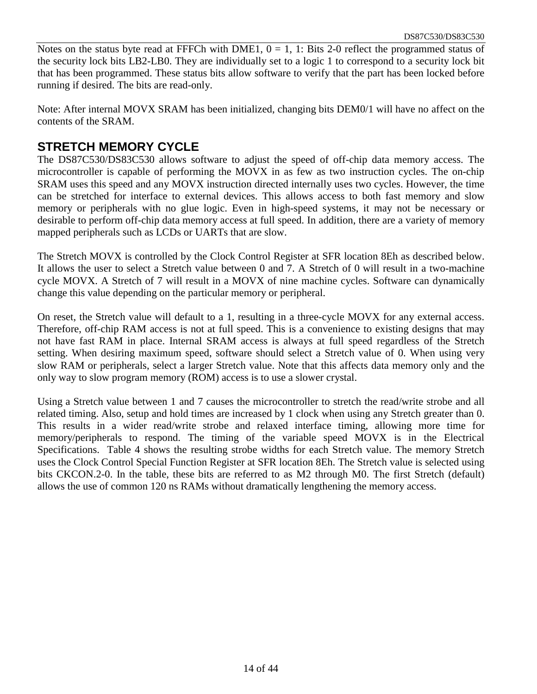Notes on the status byte read at FFFCh with DME1,  $0 = 1$ , 1: Bits 2-0 reflect the programmed status of the security lock bits LB2-LB0. They are individually set to a logic 1 to correspond to a security lock bit that has been programmed. These status bits allow software to verify that the part has been locked before running if desired. The bits are read-only.

Note: After internal MOVX SRAM has been initialized, changing bits DEM0/1 will have no affect on the contents of the SRAM.

#### **STRETCH MEMORY CYCLE**

The DS87C530/DS83C530 allows software to adjust the speed of off-chip data memory access. The microcontroller is capable of performing the MOVX in as few as two instruction cycles. The on-chip SRAM uses this speed and any MOVX instruction directed internally uses two cycles. However, the time can be stretched for interface to external devices. This allows access to both fast memory and slow memory or peripherals with no glue logic. Even in high-speed systems, it may not be necessary or desirable to perform off-chip data memory access at full speed. In addition, there are a variety of memory mapped peripherals such as LCDs or UARTs that are slow.

The Stretch MOVX is controlled by the Clock Control Register at SFR location 8Eh as described below. It allows the user to select a Stretch value between 0 and 7. A Stretch of 0 will result in a two-machine cycle MOVX. A Stretch of 7 will result in a MOVX of nine machine cycles. Software can dynamically change this value depending on the particular memory or peripheral.

On reset, the Stretch value will default to a 1, resulting in a three-cycle MOVX for any external access. Therefore, off-chip RAM access is not at full speed. This is a convenience to existing designs that may not have fast RAM in place. Internal SRAM access is always at full speed regardless of the Stretch setting. When desiring maximum speed, software should select a Stretch value of 0. When using very slow RAM or peripherals, select a larger Stretch value. Note that this affects data memory only and the only way to slow program memory (ROM) access is to use a slower crystal.

Using a Stretch value between 1 and 7 causes the microcontroller to stretch the read/write strobe and all related timing. Also, setup and hold times are increased by 1 clock when using any Stretch greater than 0. This results in a wider read/write strobe and relaxed interface timing, allowing more time for memory/peripherals to respond. The timing of the variable speed MOVX is in the Electrical Specifications. Table 4 shows the resulting strobe widths for each Stretch value. The memory Stretch uses the Clock Control Special Function Register at SFR location 8Eh. The Stretch value is selected using bits CKCON.2-0. In the table, these bits are referred to as M2 through M0. The first Stretch (default) allows the use of common 120 ns RAMs without dramatically lengthening the memory access.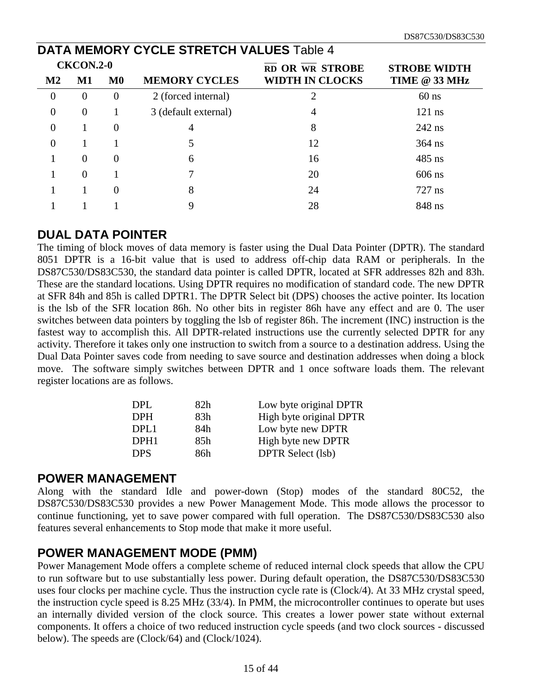|                  | <b>DATA MEMORY CYCLE STRETCH VALUES Table 4</b> |               |                      |                        |                     |  |  |  |
|------------------|-------------------------------------------------|---------------|----------------------|------------------------|---------------------|--|--|--|
| <b>CKCON.2-0</b> |                                                 |               |                      | RD OR WR STROBE        | <b>STROBE WIDTH</b> |  |  |  |
| $\mathbf{M2}$    | M1                                              | $\mathbf{M0}$ | <b>MEMORY CYCLES</b> | <b>WIDTH IN CLOCKS</b> | TIME @ 33 MHz       |  |  |  |
| $\theta$         | $\theta$                                        | $\theta$      | 2 (forced internal)  | $\overline{2}$         | $60$ ns             |  |  |  |
| $\theta$         | $\theta$                                        |               | 3 (default external) | 4                      | $121$ ns            |  |  |  |
| $\Omega$         |                                                 | $\theta$      | 4                    | 8                      | $242$ ns            |  |  |  |
| $\Omega$         |                                                 |               |                      | 12                     | $364$ ns            |  |  |  |
|                  | $\overline{0}$                                  | $\Omega$      | 6                    | 16                     | $485$ ns            |  |  |  |
|                  | $\Omega$                                        |               |                      | 20                     | $606$ ns            |  |  |  |
|                  |                                                 |               | 8                    | 24                     | $727$ ns            |  |  |  |
|                  |                                                 |               |                      | 28                     | 848 ns              |  |  |  |

#### **DUAL DATA POINTER**

The timing of block moves of data memory is faster using the Dual Data Pointer (DPTR). The standard 8051 DPTR is a 16-bit value that is used to address off-chip data RAM or peripherals. In the DS87C530/DS83C530, the standard data pointer is called DPTR, located at SFR addresses 82h and 83h. These are the standard locations. Using DPTR requires no modification of standard code. The new DPTR at SFR 84h and 85h is called DPTR1. The DPTR Select bit (DPS) chooses the active pointer. Its location is the lsb of the SFR location 86h. No other bits in register 86h have any effect and are 0. The user switches between data pointers by toggling the lsb of register 86h. The increment (INC) instruction is the fastest way to accomplish this. All DPTR-related instructions use the currently selected DPTR for any activity. Therefore it takes only one instruction to switch from a source to a destination address. Using the Dual Data Pointer saves code from needing to save source and destination addresses when doing a block move. The software simply switches between DPTR and 1 once software loads them. The relevant register locations are as follows.

| DPL.             | 82h | Low byte original DPTR   |
|------------------|-----|--------------------------|
| <b>DPH</b>       | 83h | High byte original DPTR  |
| DPL1             | 84h | Low byte new DPTR        |
| DPH <sub>1</sub> | 85h | High byte new DPTR       |
| <b>DPS</b>       | 86h | <b>DPTR</b> Select (lsb) |
|                  |     |                          |

#### **POWER MANAGEMENT**

Along with the standard Idle and power-down (Stop) modes of the standard 80C52, the DS87C530/DS83C530 provides a new Power Management Mode. This mode allows the processor to continue functioning, yet to save power compared with full operation. The DS87C530/DS83C530 also features several enhancements to Stop mode that make it more useful.

#### **POWER MANAGEMENT MODE (PMM)**

Power Management Mode offers a complete scheme of reduced internal clock speeds that allow the CPU to run software but to use substantially less power. During default operation, the DS87C530/DS83C530 uses four clocks per machine cycle. Thus the instruction cycle rate is (Clock/4). At 33 MHz crystal speed, the instruction cycle speed is 8.25 MHz (33/4). In PMM, the microcontroller continues to operate but uses an internally divided version of the clock source. This creates a lower power state without external components. It offers a choice of two reduced instruction cycle speeds (and two clock sources - discussed below). The speeds are (Clock/64) and (Clock/1024).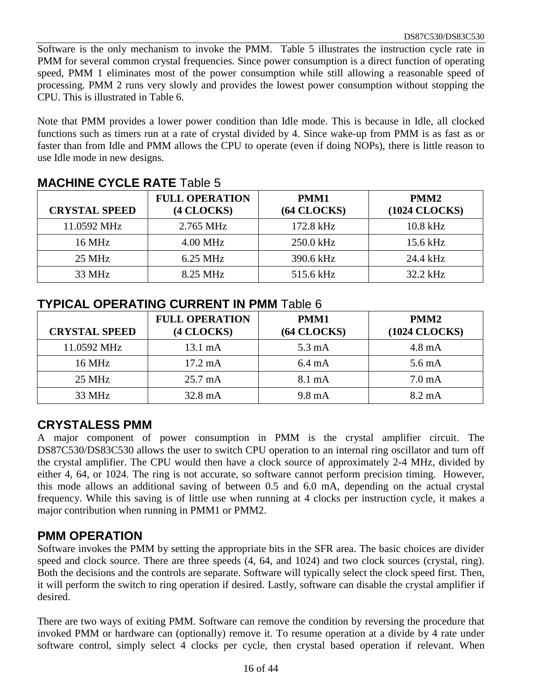Software is the only mechanism to invoke the PMM. Table 5 illustrates the instruction cycle rate in PMM for several common crystal frequencies. Since power consumption is a direct function of operating speed, PMM 1 eliminates most of the power consumption while still allowing a reasonable speed of processing. PMM 2 runs very slowly and provides the lowest power consumption without stopping the CPU. This is illustrated in Table 6.

Note that PMM provides a lower power condition than Idle mode. This is because in Idle, all clocked functions such as timers run at a rate of crystal divided by 4. Since wake-up from PMM is as fast as or faster than from Idle and PMM allows the CPU to operate (even if doing NOPs), there is little reason to use Idle mode in new designs.

| <b>CRYSTAL SPEED</b> | <b>FULL OPERATION</b><br>(4 CLOCKS) | PMM1<br>$(64$ CLOCKS $)$ | PMM <sub>2</sub><br>(1024 CLOCKS) |
|----------------------|-------------------------------------|--------------------------|-----------------------------------|
| 11.0592 MHz          | 2.765 MHz                           | 172.8 kHz                | $10.8$ kHz                        |
| 16 MHz               | $4.00 \text{ MHz}$                  | 250.0 kHz                | 15.6 kHz                          |
| 25 MHz               | $6.25$ MHz                          | 390.6 kHz                | 24.4 kHz                          |
| 33 MHz               | 8.25 MHz                            | 515.6 kHz                | $32.2$ kHz                        |

#### **MACHINE CYCLE RATE** Table 5

#### **TYPICAL OPERATING CURRENT IN PMM** Table 6

| <b>CRYSTAL SPEED</b> | <b>FULL OPERATION</b><br>(4 CLOCKS) | PMM1<br>(64 CLOCKS) | PMM <sub>2</sub><br>(1024 CLOCKS) |
|----------------------|-------------------------------------|---------------------|-----------------------------------|
| 11.0592 MHz          | 13.1 mA                             | $5.3 \text{ mA}$    | $4.8 \text{ mA}$                  |
| 16 MHz               | $17.2 \text{ mA}$                   | $6.4 \text{ mA}$    | $5.6 \text{ mA}$                  |
| 25 MHz               | $25.7 \text{ mA}$                   | 8.1 mA              | $7.0 \text{ mA}$                  |
| 33 MHz               | 32.8 mA                             | $9.8 \text{ mA}$    | $8.2 \text{ mA}$                  |

#### **CRYSTALESS PMM**

A major component of power consumption in PMM is the crystal amplifier circuit. The DS87C530/DS83C530 allows the user to switch CPU operation to an internal ring oscillator and turn off the crystal amplifier. The CPU would then have a clock source of approximately 2-4 MHz, divided by either 4, 64, or 1024. The ring is not accurate, so software cannot perform precision timing. However, this mode allows an additional saving of between 0.5 and 6.0 mA, depending on the actual crystal frequency. While this saving is of little use when running at 4 clocks per instruction cycle, it makes a major contribution when running in PMM1 or PMM2.

#### **PMM OPERATION**

Software invokes the PMM by setting the appropriate bits in the SFR area. The basic choices are divider speed and clock source. There are three speeds (4, 64, and 1024) and two clock sources (crystal, ring). Both the decisions and the controls are separate. Software will typically select the clock speed first. Then, it will perform the switch to ring operation if desired. Lastly, software can disable the crystal amplifier if desired.

There are two ways of exiting PMM. Software can remove the condition by reversing the procedure that invoked PMM or hardware can (optionally) remove it. To resume operation at a divide by 4 rate under software control, simply select 4 clocks per cycle, then crystal based operation if relevant. When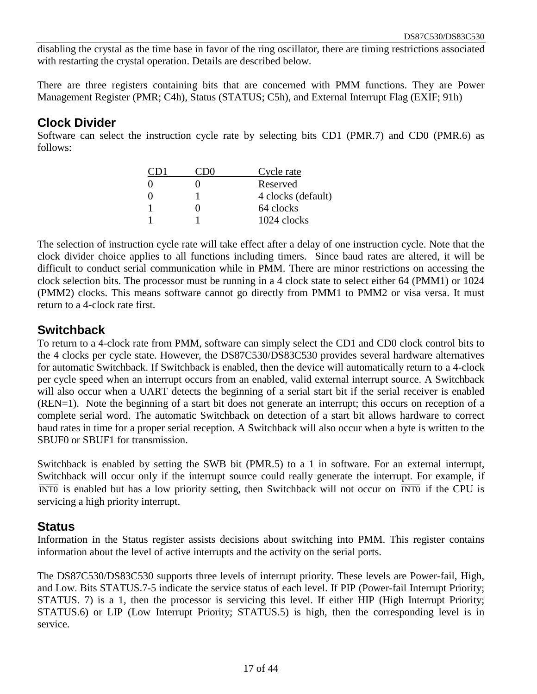disabling the crystal as the time base in favor of the ring oscillator, there are timing restrictions associated with restarting the crystal operation. Details are described below.

There are three registers containing bits that are concerned with PMM functions. They are Power Management Register (PMR; C4h), Status (STATUS; C5h), and External Interrupt Flag (EXIF; 91h)

#### **Clock Divider**

Software can select the instruction cycle rate by selecting bits CD1 (PMR.7) and CD0 (PMR.6) as follows:

| $\left( \begin{array}{c} \cdot \end{array} \right)$ | Cycle rate         |
|-----------------------------------------------------|--------------------|
| 0                                                   | Reserved           |
| $\mathbf{\Omega}$                                   | 4 clocks (default) |
|                                                     | 64 clocks          |
|                                                     | 1024 clocks        |

The selection of instruction cycle rate will take effect after a delay of one instruction cycle. Note that the clock divider choice applies to all functions including timers. Since baud rates are altered, it will be difficult to conduct serial communication while in PMM. There are minor restrictions on accessing the clock selection bits. The processor must be running in a 4 clock state to select either 64 (PMM1) or 1024 (PMM2) clocks. This means software cannot go directly from PMM1 to PMM2 or visa versa. It must return to a 4-clock rate first.

#### **Switchback**

To return to a 4-clock rate from PMM, software can simply select the CD1 and CD0 clock control bits to the 4 clocks per cycle state. However, the DS87C530/DS83C530 provides several hardware alternatives for automatic Switchback. If Switchback is enabled, then the device will automatically return to a 4-clock per cycle speed when an interrupt occurs from an enabled, valid external interrupt source. A Switchback will also occur when a UART detects the beginning of a serial start bit if the serial receiver is enabled (REN=1). Note the beginning of a start bit does not generate an interrupt; this occurs on reception of a complete serial word. The automatic Switchback on detection of a start bit allows hardware to correct baud rates in time for a proper serial reception. A Switchback will also occur when a byte is written to the SBUF0 or SBUF1 for transmission.

Switchback is enabled by setting the SWB bit (PMR.5) to a 1 in software. For an external interrupt, Switchback will occur only if the interrupt source could really generate the interrupt. For example, if  $\overline{INT0}$  is enabled but has a low priority setting, then Switchback will not occur on  $\overline{INT0}$  if the CPU is servicing a high priority interrupt.

#### **Status**

Information in the Status register assists decisions about switching into PMM. This register contains information about the level of active interrupts and the activity on the serial ports.

The DS87C530/DS83C530 supports three levels of interrupt priority. These levels are Power-fail, High, and Low. Bits STATUS.7-5 indicate the service status of each level. If PIP (Power-fail Interrupt Priority; STATUS. 7) is a 1, then the processor is servicing this level. If either HIP (High Interrupt Priority; STATUS.6) or LIP (Low Interrupt Priority; STATUS.5) is high, then the corresponding level is in service.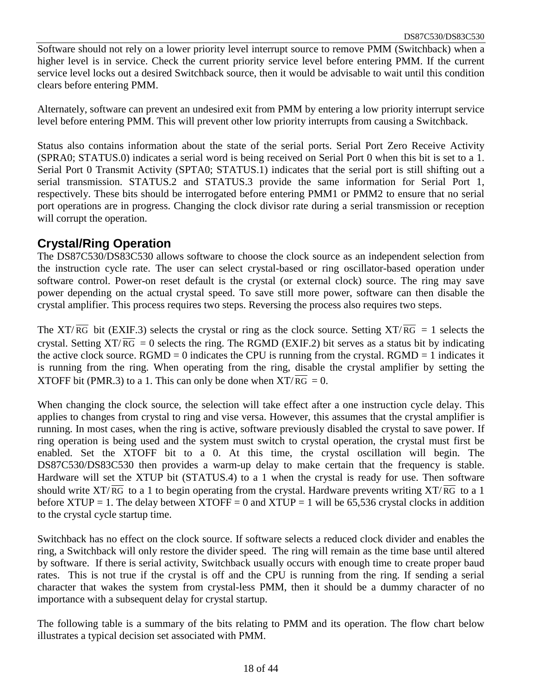Software should not rely on a lower priority level interrupt source to remove PMM (Switchback) when a higher level is in service. Check the current priority service level before entering PMM. If the current service level locks out a desired Switchback source, then it would be advisable to wait until this condition clears before entering PMM.

Alternately, software can prevent an undesired exit from PMM by entering a low priority interrupt service level before entering PMM. This will prevent other low priority interrupts from causing a Switchback.

Status also contains information about the state of the serial ports. Serial Port Zero Receive Activity (SPRA0; STATUS.0) indicates a serial word is being received on Serial Port 0 when this bit is set to a 1. Serial Port 0 Transmit Activity (SPTA0; STATUS.1) indicates that the serial port is still shifting out a serial transmission. STATUS.2 and STATUS.3 provide the same information for Serial Port 1, respectively. These bits should be interrogated before entering PMM1 or PMM2 to ensure that no serial port operations are in progress. Changing the clock divisor rate during a serial transmission or reception will corrupt the operation.

#### **Crystal/Ring Operation**

The DS87C530/DS83C530 allows software to choose the clock source as an independent selection from the instruction cycle rate. The user can select crystal-based or ring oscillator-based operation under software control. Power-on reset default is the crystal (or external clock) source. The ring may save power depending on the actual crystal speed. To save still more power, software can then disable the crystal amplifier. This process requires two steps. Reversing the process also requires two steps.

The XT/RG bit (EXIF.3) selects the crystal or ring as the clock source. Setting  $XT/RG = 1$  selects the crystal. Setting  $XT/\overline{RG} = 0$  selects the ring. The RGMD (EXIF.2) bit serves as a status bit by indicating the active clock source.  $RGMD = 0$  indicates the CPU is running from the crystal.  $RGMD = 1$  indicates it is running from the ring. When operating from the ring, disable the crystal amplifier by setting the XTOFF bit (PMR.3) to a 1. This can only be done when  $XT/\overline{RG} = 0$ .

When changing the clock source, the selection will take effect after a one instruction cycle delay. This applies to changes from crystal to ring and vise versa. However, this assumes that the crystal amplifier is running. In most cases, when the ring is active, software previously disabled the crystal to save power. If ring operation is being used and the system must switch to crystal operation, the crystal must first be enabled. Set the XTOFF bit to a 0. At this time, the crystal oscillation will begin. The DS87C530/DS83C530 then provides a warm-up delay to make certain that the frequency is stable. Hardware will set the XTUP bit (STATUS.4) to a 1 when the crystal is ready for use. Then software should write XT/ $\overline{RG}$  to a 1 to begin operating from the crystal. Hardware prevents writing XT/ $\overline{RG}$  to a 1 before XTUP = 1. The delay between XTOFF = 0 and XTUP = 1 will be 65,536 crystal clocks in addition to the crystal cycle startup time.

Switchback has no effect on the clock source. If software selects a reduced clock divider and enables the ring, a Switchback will only restore the divider speed. The ring will remain as the time base until altered by software. If there is serial activity, Switchback usually occurs with enough time to create proper baud rates. This is not true if the crystal is off and the CPU is running from the ring. If sending a serial character that wakes the system from crystal-less PMM, then it should be a dummy character of no importance with a subsequent delay for crystal startup.

The following table is a summary of the bits relating to PMM and its operation. The flow chart below illustrates a typical decision set associated with PMM.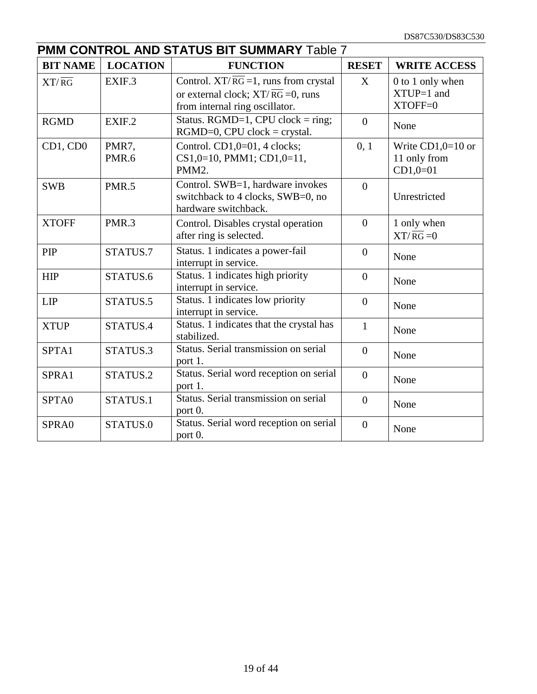| <b>PMM CONTROL AND STATUS BIT SUMMARY Table 7</b> |                 |                                                                                                                                |                |                                                   |  |
|---------------------------------------------------|-----------------|--------------------------------------------------------------------------------------------------------------------------------|----------------|---------------------------------------------------|--|
| <b>BIT NAME</b>                                   | <b>LOCATION</b> | <b>FUNCTION</b>                                                                                                                | <b>RESET</b>   | <b>WRITE ACCESS</b>                               |  |
| $XT/\overline{RG}$                                | EXIF.3          | Control. $XT/RG = 1$ , runs from crystal<br>or external clock; $XT/\overline{RG} = 0$ , runs<br>from internal ring oscillator. | X              | 0 to 1 only when<br>$XTUP=1$ and<br>XTOFF=0       |  |
| <b>RGMD</b>                                       | EXIF.2          | Status. RGMD=1, CPU clock = ring;<br>$RGMD=0$ , $CPU clock = crystal$ .                                                        | $\overline{0}$ | None                                              |  |
| CD1, CD0                                          | PMR7,<br>PMR.6  | Control. CD1,0=01, 4 clocks;<br>CS1,0=10, PMM1; CD1,0=11,<br>PMM2.                                                             | 0, 1           | Write $CD1,0=10$ or<br>11 only from<br>$CD1,0=01$ |  |
| <b>SWB</b>                                        | <b>PMR.5</b>    | Control. SWB=1, hardware invokes<br>switchback to 4 clocks, SWB=0, no<br>hardware switchback.                                  | $\overline{0}$ | Unrestricted                                      |  |
| <b>XTOFF</b>                                      | PMR.3           | Control. Disables crystal operation<br>after ring is selected.                                                                 | $\overline{0}$ | 1 only when<br>$XT/\overline{RG} = 0$             |  |
| PIP                                               | STATUS.7        | Status. 1 indicates a power-fail<br>interrupt in service.                                                                      | $\overline{0}$ | None                                              |  |
| <b>HIP</b>                                        | STATUS.6        | Status. 1 indicates high priority<br>interrupt in service.                                                                     | $\overline{0}$ | None                                              |  |
| <b>LIP</b>                                        | STATUS.5        | Status. 1 indicates low priority<br>interrupt in service.                                                                      | $\overline{0}$ | None                                              |  |
| <b>XTUP</b>                                       | STATUS.4        | Status. 1 indicates that the crystal has<br>stabilized.                                                                        | $\mathbf{1}$   | None                                              |  |
| SPTA1                                             | STATUS.3        | Status. Serial transmission on serial<br>port 1.                                                                               | $\overline{0}$ | None                                              |  |
| SPRA1                                             | STATUS.2        | Status. Serial word reception on serial<br>port 1.                                                                             | $\overline{0}$ | None                                              |  |
| SPTA0                                             | STATUS.1        | Status. Serial transmission on serial<br>port 0.                                                                               | $\overline{0}$ | None                                              |  |
| SPRA0                                             | STATUS.0        | Status. Serial word reception on serial<br>port 0.                                                                             | $\overline{0}$ | None                                              |  |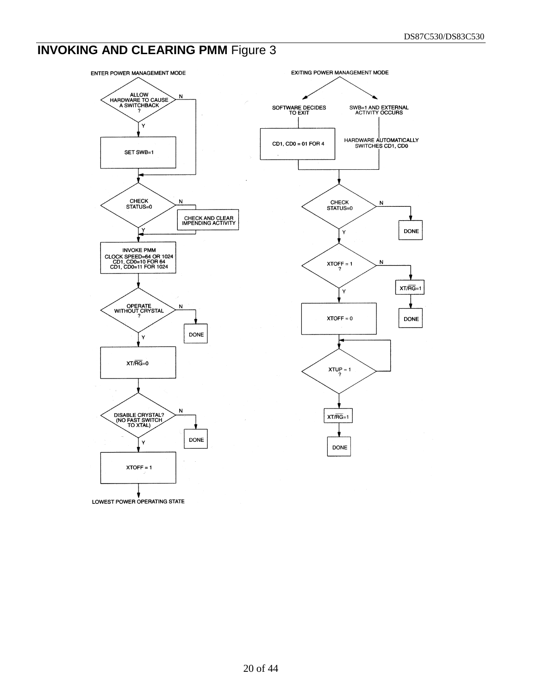# **INVOKING AND CLEARING PMM Figure 3**

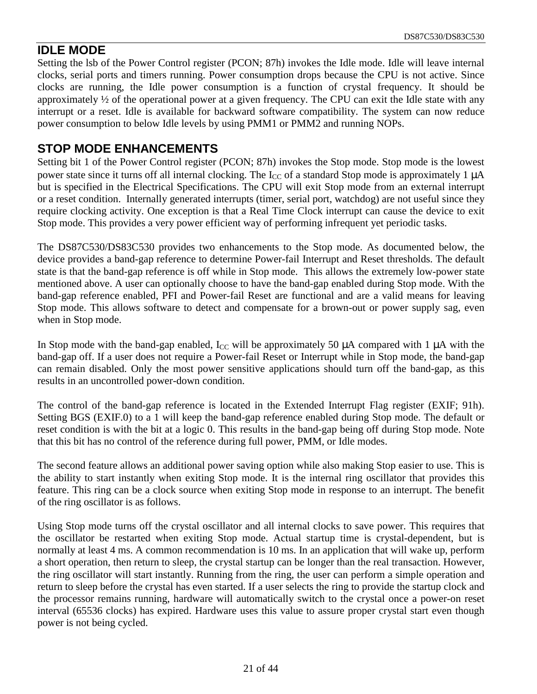#### **IDLE MODE**

Setting the lsb of the Power Control register (PCON; 87h) invokes the Idle mode. Idle will leave internal clocks, serial ports and timers running. Power consumption drops because the CPU is not active. Since clocks are running, the Idle power consumption is a function of crystal frequency. It should be approximately ½ of the operational power at a given frequency. The CPU can exit the Idle state with any interrupt or a reset. Idle is available for backward software compatibility. The system can now reduce power consumption to below Idle levels by using PMM1 or PMM2 and running NOPs.

#### **STOP MODE ENHANCEMENTS**

Setting bit 1 of the Power Control register (PCON; 87h) invokes the Stop mode. Stop mode is the lowest power state since it turns off all internal clocking. The  $I_{CC}$  of a standard Stop mode is approximately 1  $\mu$ A but is specified in the Electrical Specifications. The CPU will exit Stop mode from an external interrupt or a reset condition. Internally generated interrupts (timer, serial port, watchdog) are not useful since they require clocking activity. One exception is that a Real Time Clock interrupt can cause the device to exit Stop mode. This provides a very power efficient way of performing infrequent yet periodic tasks.

The DS87C530/DS83C530 provides two enhancements to the Stop mode. As documented below, the device provides a band-gap reference to determine Power-fail Interrupt and Reset thresholds. The default state is that the band-gap reference is off while in Stop mode. This allows the extremely low-power state mentioned above. A user can optionally choose to have the band-gap enabled during Stop mode. With the band-gap reference enabled, PFI and Power-fail Reset are functional and are a valid means for leaving Stop mode. This allows software to detect and compensate for a brown-out or power supply sag, even when in Stop mode.

In Stop mode with the band-gap enabled,  $I_{CC}$  will be approximately 50  $\mu$ A compared with 1  $\mu$ A with the band-gap off. If a user does not require a Power-fail Reset or Interrupt while in Stop mode, the band-gap can remain disabled. Only the most power sensitive applications should turn off the band-gap, as this results in an uncontrolled power-down condition.

The control of the band-gap reference is located in the Extended Interrupt Flag register (EXIF; 91h). Setting BGS (EXIF.0) to a 1 will keep the band-gap reference enabled during Stop mode. The default or reset condition is with the bit at a logic 0. This results in the band-gap being off during Stop mode. Note that this bit has no control of the reference during full power, PMM, or Idle modes.

The second feature allows an additional power saving option while also making Stop easier to use. This is the ability to start instantly when exiting Stop mode. It is the internal ring oscillator that provides this feature. This ring can be a clock source when exiting Stop mode in response to an interrupt. The benefit of the ring oscillator is as follows.

Using Stop mode turns off the crystal oscillator and all internal clocks to save power. This requires that the oscillator be restarted when exiting Stop mode. Actual startup time is crystal-dependent, but is normally at least 4 ms. A common recommendation is 10 ms. In an application that will wake up, perform a short operation, then return to sleep, the crystal startup can be longer than the real transaction. However, the ring oscillator will start instantly. Running from the ring, the user can perform a simple operation and return to sleep before the crystal has even started. If a user selects the ring to provide the startup clock and the processor remains running, hardware will automatically switch to the crystal once a power-on reset interval (65536 clocks) has expired. Hardware uses this value to assure proper crystal start even though power is not being cycled.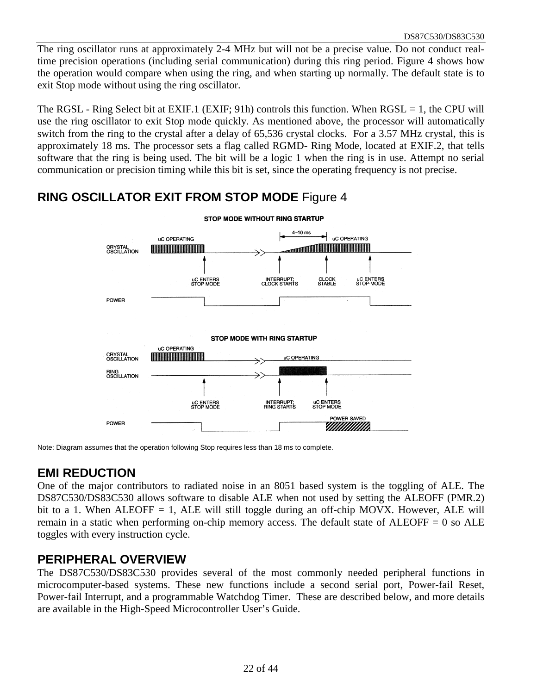The ring oscillator runs at approximately 2-4 MHz but will not be a precise value. Do not conduct realtime precision operations (including serial communication) during this ring period. Figure 4 shows how the operation would compare when using the ring, and when starting up normally. The default state is to exit Stop mode without using the ring oscillator.

The RGSL - Ring Select bit at EXIF.1 (EXIF; 91h) controls this function. When  $RGSL = 1$ , the CPU will use the ring oscillator to exit Stop mode quickly. As mentioned above, the processor will automatically switch from the ring to the crystal after a delay of 65,536 crystal clocks. For a 3.57 MHz crystal, this is approximately 18 ms. The processor sets a flag called RGMD- Ring Mode, located at EXIF.2, that tells software that the ring is being used. The bit will be a logic 1 when the ring is in use. Attempt no serial communication or precision timing while this bit is set, since the operating frequency is not precise.

### **RING OSCILLATOR EXIT FROM STOP MODE** Figure 4



Note: Diagram assumes that the operation following Stop requires less than 18 ms to complete.

### **EMI REDUCTION**

One of the major contributors to radiated noise in an 8051 based system is the toggling of ALE. The DS87C530/DS83C530 allows software to disable ALE when not used by setting the ALEOFF (PMR.2) bit to a 1. When ALEOFF  $= 1$ , ALE will still toggle during an off-chip MOVX. However, ALE will remain in a static when performing on-chip memory access. The default state of ALEOFF  $= 0$  so ALE toggles with every instruction cycle.

#### **PERIPHERAL OVERVIEW**

The DS87C530/DS83C530 provides several of the most commonly needed peripheral functions in microcomputer-based systems. These new functions include a second serial port, Power-fail Reset, Power-fail Interrupt, and a programmable Watchdog Timer. These are described below, and more details are available in the High-Speed Microcontroller User's Guide.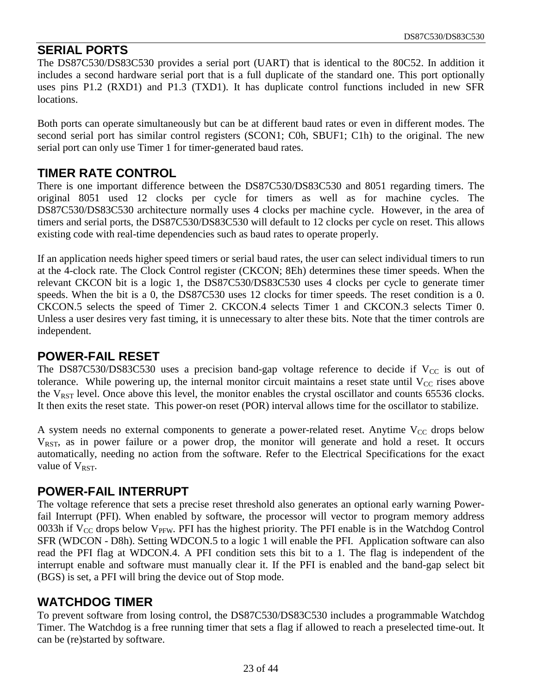#### **SERIAL PORTS**

The DS87C530/DS83C530 provides a serial port (UART) that is identical to the 80C52. In addition it includes a second hardware serial port that is a full duplicate of the standard one. This port optionally uses pins P1.2 (RXD1) and P1.3 (TXD1). It has duplicate control functions included in new SFR locations.

Both ports can operate simultaneously but can be at different baud rates or even in different modes. The second serial port has similar control registers (SCON1; C0h, SBUF1; C1h) to the original. The new serial port can only use Timer 1 for timer-generated baud rates.

#### **TIMER RATE CONTROL**

There is one important difference between the DS87C530/DS83C530 and 8051 regarding timers. The original 8051 used 12 clocks per cycle for timers as well as for machine cycles. The DS87C530/DS83C530 architecture normally uses 4 clocks per machine cycle. However, in the area of timers and serial ports, the DS87C530/DS83C530 will default to 12 clocks per cycle on reset. This allows existing code with real-time dependencies such as baud rates to operate properly.

If an application needs higher speed timers or serial baud rates, the user can select individual timers to run at the 4-clock rate. The Clock Control register (CKCON; 8Eh) determines these timer speeds. When the relevant CKCON bit is a logic 1, the DS87C530/DS83C530 uses 4 clocks per cycle to generate timer speeds. When the bit is a 0, the DS87C530 uses 12 clocks for timer speeds. The reset condition is a 0. CKCON.5 selects the speed of Timer 2. CKCON.4 selects Timer 1 and CKCON.3 selects Timer 0. Unless a user desires very fast timing, it is unnecessary to alter these bits. Note that the timer controls are independent.

#### **POWER-FAIL RESET**

The DS87C530/DS83C530 uses a precision band-gap voltage reference to decide if  $V_{CC}$  is out of tolerance. While powering up, the internal monitor circuit maintains a reset state until  $V_{CC}$  rises above the  $V_{RST}$  level. Once above this level, the monitor enables the crystal oscillator and counts 65536 clocks. It then exits the reset state. This power-on reset (POR) interval allows time for the oscillator to stabilize.

A system needs no external components to generate a power-related reset. Anytime  $V_{CC}$  drops below VRST, as in power failure or a power drop, the monitor will generate and hold a reset. It occurs automatically, needing no action from the software. Refer to the Electrical Specifications for the exact value of  $V_{RST}$ .

#### **POWER-FAIL INTERRUPT**

The voltage reference that sets a precise reset threshold also generates an optional early warning Powerfail Interrupt (PFI). When enabled by software, the processor will vector to program memory address 0033h if  $V_{CC}$  drops below  $V_{PFW}$ . PFI has the highest priority. The PFI enable is in the Watchdog Control SFR (WDCON - D8h). Setting WDCON.5 to a logic 1 will enable the PFI. Application software can also read the PFI flag at WDCON.4. A PFI condition sets this bit to a 1. The flag is independent of the interrupt enable and software must manually clear it. If the PFI is enabled and the band-gap select bit (BGS) is set, a PFI will bring the device out of Stop mode.

#### **WATCHDOG TIMER**

To prevent software from losing control, the DS87C530/DS83C530 includes a programmable Watchdog Timer. The Watchdog is a free running timer that sets a flag if allowed to reach a preselected time-out. It can be (re)started by software.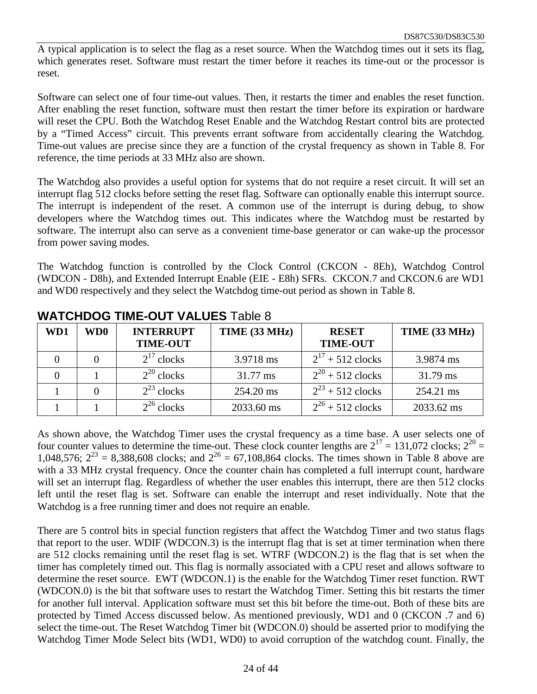A typical application is to select the flag as a reset source. When the Watchdog times out it sets its flag, which generates reset. Software must restart the timer before it reaches its time-out or the processor is reset.

Software can select one of four time-out values. Then, it restarts the timer and enables the reset function. After enabling the reset function, software must then restart the timer before its expiration or hardware will reset the CPU. Both the Watchdog Reset Enable and the Watchdog Restart control bits are protected by a "Timed Access" circuit. This prevents errant software from accidentally clearing the Watchdog. Time-out values are precise since they are a function of the crystal frequency as shown in Table 8. For reference, the time periods at 33 MHz also are shown.

The Watchdog also provides a useful option for systems that do not require a reset circuit. It will set an interrupt flag 512 clocks before setting the reset flag. Software can optionally enable this interrupt source. The interrupt is independent of the reset. A common use of the interrupt is during debug, to show developers where the Watchdog times out. This indicates where the Watchdog must be restarted by software. The interrupt also can serve as a convenient time-base generator or can wake-up the processor from power saving modes.

The Watchdog function is controlled by the Clock Control (CKCON - 8Eh), Watchdog Control (WDCON - D8h), and Extended Interrupt Enable (EIE - E8h) SFRs. CKCON.7 and CKCON.6 are WD1 and WD0 respectively and they select the Watchdog time-out period as shown in Table 8.

| WD1 | WD0 | <b>INTERRUPT</b><br><b>TIME-OUT</b> | TIME (33 MHz) | <b>RESET</b><br><b>TIME-OUT</b> | TIME (33 MHz)      |  |  |
|-----|-----|-------------------------------------|---------------|---------------------------------|--------------------|--|--|
|     |     | $2^{17}$ clocks                     | 3.9718 ms     | $2^{17} + 512$ clocks           | 3.9874 ms          |  |  |
|     |     | $2^{20}$ clocks                     | 31.77 ms      | $2^{20} + 512$ clocks           | $31.79 \text{ ms}$ |  |  |
|     |     | $2^{23}$ clocks                     | 254.20 ms     | $2^{23}$ + 512 clocks           | 254.21 ms          |  |  |
|     |     | $2^{26}$ clocks                     | 2033.60 ms    | $2^{26} + 512$ clocks           | 2033.62 ms         |  |  |

#### **WATCHDOG TIME-OUT VALUES** Table 8

As shown above, the Watchdog Timer uses the crystal frequency as a time base. A user selects one of four counter values to determine the time-out. These clock counter lengths are  $2^{17} = 131,072$  clocks;  $2^{20} =$ 1,048,576;  $2^{23} = 8,388,608$  clocks; and  $2^{26} = 67,108,864$  clocks. The times shown in Table 8 above are with a 33 MHz crystal frequency. Once the counter chain has completed a full interrupt count, hardware will set an interrupt flag. Regardless of whether the user enables this interrupt, there are then 512 clocks left until the reset flag is set. Software can enable the interrupt and reset individually. Note that the Watchdog is a free running timer and does not require an enable.

There are 5 control bits in special function registers that affect the Watchdog Timer and two status flags that report to the user. WDIF (WDCON.3) is the interrupt flag that is set at timer termination when there are 512 clocks remaining until the reset flag is set. WTRF (WDCON.2) is the flag that is set when the timer has completely timed out. This flag is normally associated with a CPU reset and allows software to determine the reset source. EWT (WDCON.1) is the enable for the Watchdog Timer reset function. RWT (WDCON.0) is the bit that software uses to restart the Watchdog Timer. Setting this bit restarts the timer for another full interval. Application software must set this bit before the time-out. Both of these bits are protected by Timed Access discussed below. As mentioned previously, WD1 and 0 (CKCON .7 and 6) select the time-out. The Reset Watchdog Timer bit (WDCON.0) should be asserted prior to modifying the Watchdog Timer Mode Select bits (WD1, WD0) to avoid corruption of the watchdog count. Finally, the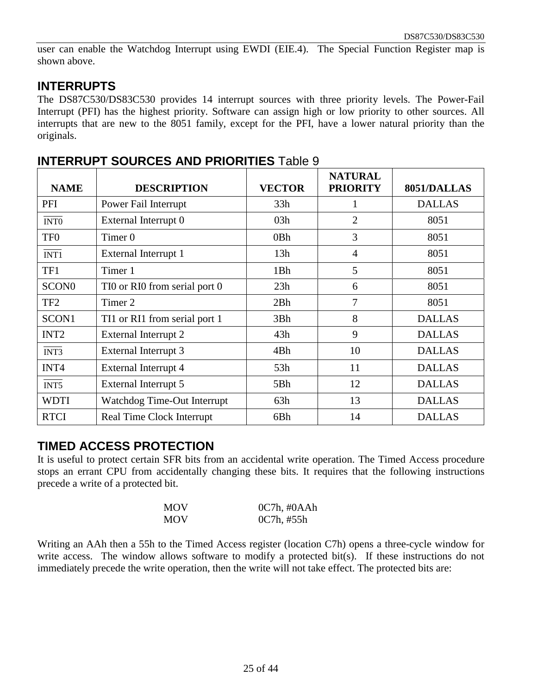user can enable the Watchdog Interrupt using EWDI (EIE.4). The Special Function Register map is shown above.

#### **INTERRUPTS**

The DS87C530/DS83C530 provides 14 interrupt sources with three priority levels. The Power-Fail Interrupt (PFI) has the highest priority. Software can assign high or low priority to other sources. All interrupts that are new to the 8051 family, except for the PFI, have a lower natural priority than the originals.

| <b>NAME</b>       | <b>DESCRIPTION</b>               | <b>VECTOR</b> | <b>NATURAL</b><br><b>PRIORITY</b> | 8051/DALLAS   |
|-------------------|----------------------------------|---------------|-----------------------------------|---------------|
| PFI               | Power Fail Interrupt             | 33h           | 1                                 | <b>DALLAS</b> |
| INT <sub>0</sub>  | External Interrupt 0             | 03h           | $\overline{2}$                    | 8051          |
| TF <sub>0</sub>   | Timer <sub>0</sub>               | 0Bh           | 3                                 | 8051          |
| INT1              | External Interrupt 1             | 13h           | $\overline{4}$                    | 8051          |
| TF1               | Timer 1                          | 1Bh           | 5                                 | 8051          |
| SCON <sub>0</sub> | TIO or RIO from serial port 0    | 23h           | 6                                 | 8051          |
| TF <sub>2</sub>   | Timer 2                          | 2Bh           | 7                                 | 8051          |
| SCON1             | TI1 or RI1 from serial port 1    | 3Bh           | 8                                 | <b>DALLAS</b> |
| INT <sub>2</sub>  | External Interrupt 2             | 43h           | 9                                 | <b>DALLAS</b> |
| INT3              | External Interrupt 3             | 4Bh           | 10                                | <b>DALLAS</b> |
| INT <sub>4</sub>  | External Interrupt 4             | 53h           | 11                                | <b>DALLAS</b> |
| INT5              | External Interrupt 5             | 5Bh           | 12                                | <b>DALLAS</b> |
| <b>WDTI</b>       | Watchdog Time-Out Interrupt      | 63h           | 13                                | <b>DALLAS</b> |
| <b>RTCI</b>       | <b>Real Time Clock Interrupt</b> | 6Bh           | 14                                | <b>DALLAS</b> |

#### **INTERRUPT SOURCES AND PRIORITIES** Table 9

#### **TIMED ACCESS PROTECTION**

It is useful to protect certain SFR bits from an accidental write operation. The Timed Access procedure stops an errant CPU from accidentally changing these bits. It requires that the following instructions precede a write of a protected bit.

| <b>MOV</b> | $0C7h$ , # $0AAh$ |
|------------|-------------------|
| <b>MOV</b> | 0C7h, #55h        |

Writing an AAh then a 55h to the Timed Access register (location C7h) opens a three-cycle window for write access. The window allows software to modify a protected bit(s). If these instructions do not immediately precede the write operation, then the write will not take effect. The protected bits are: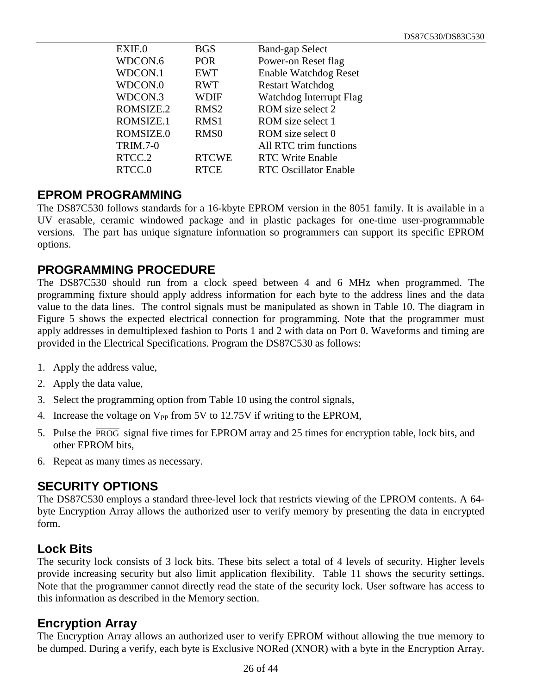| EXIF.0          | <b>BGS</b>       | <b>Band-gap Select</b>       |
|-----------------|------------------|------------------------------|
| WDCON.6         | <b>POR</b>       | Power-on Reset flag          |
| WDCON.1         | <b>EWT</b>       | <b>Enable Watchdog Reset</b> |
| WDCON.0         | <b>RWT</b>       | <b>Restart Watchdog</b>      |
| WDCON.3         | <b>WDIF</b>      | Watchdog Interrupt Flag      |
| ROMSIZE.2       | RMS <sub>2</sub> | ROM size select 2            |
| ROMSIZE.1       | RMS1             | ROM size select 1            |
| ROMSIZE.0       | RMS <sub>0</sub> | ROM size select 0            |
| <b>TRIM.7-0</b> |                  | All RTC trim functions       |
| RTCC.2          | <b>RTCWE</b>     | <b>RTC Write Enable</b>      |
| RTCC.0          | <b>RTCE</b>      | <b>RTC Oscillator Enable</b> |
|                 |                  |                              |

#### **EPROM PROGRAMMING**

The DS87C530 follows standards for a 16-kbyte EPROM version in the 8051 family. It is available in a UV erasable, ceramic windowed package and in plastic packages for one-time user-programmable versions. The part has unique signature information so programmers can support its specific EPROM options.

#### **PROGRAMMING PROCEDURE**

The DS87C530 should run from a clock speed between 4 and 6 MHz when programmed. The programming fixture should apply address information for each byte to the address lines and the data value to the data lines. The control signals must be manipulated as shown in Table 10. The diagram in Figure 5 shows the expected electrical connection for programming. Note that the programmer must apply addresses in demultiplexed fashion to Ports 1 and 2 with data on Port 0. Waveforms and timing are provided in the Electrical Specifications. Program the DS87C530 as follows:

- 1. Apply the address value,
- 2. Apply the data value,
- 3. Select the programming option from Table 10 using the control signals,
- 4. Increase the voltage on  $V_{PP}$  from 5V to 12.75V if writing to the EPROM,
- 5. Pulse the PROG signal five times for EPROM array and 25 times for encryption table, lock bits, and other EPROM bits,
- 6. Repeat as many times as necessary.

#### **SECURITY OPTIONS**

The DS87C530 employs a standard three-level lock that restricts viewing of the EPROM contents. A 64 byte Encryption Array allows the authorized user to verify memory by presenting the data in encrypted form.

#### **Lock Bits**

The security lock consists of 3 lock bits. These bits select a total of 4 levels of security. Higher levels provide increasing security but also limit application flexibility. Table 11 shows the security settings. Note that the programmer cannot directly read the state of the security lock. User software has access to this information as described in the Memory section.

#### **Encryption Array**

The Encryption Array allows an authorized user to verify EPROM without allowing the true memory to be dumped. During a verify, each byte is Exclusive NORed (XNOR) with a byte in the Encryption Array.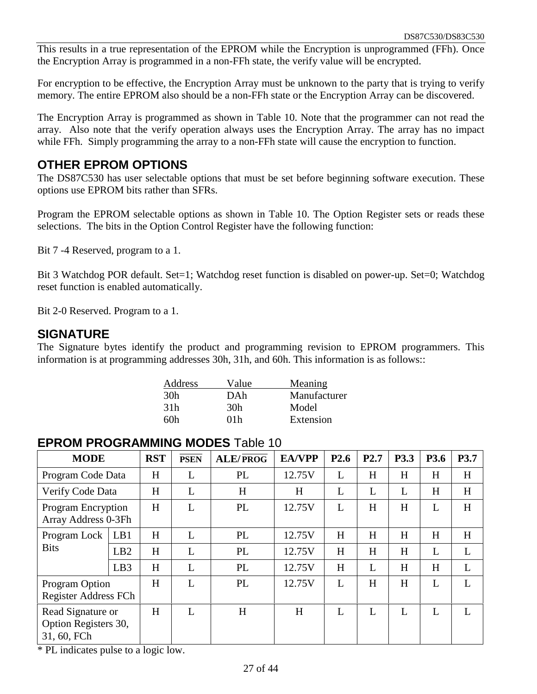This results in a true representation of the EPROM while the Encryption is unprogrammed (FFh). Once the Encryption Array is programmed in a non-FFh state, the verify value will be encrypted.

For encryption to be effective, the Encryption Array must be unknown to the party that is trying to verify memory. The entire EPROM also should be a non-FFh state or the Encryption Array can be discovered.

The Encryption Array is programmed as shown in Table 10. Note that the programmer can not read the array. Also note that the verify operation always uses the Encryption Array. The array has no impact while FFh. Simply programming the array to a non-FFh state will cause the encryption to function.

#### **OTHER EPROM OPTIONS**

The DS87C530 has user selectable options that must be set before beginning software execution. These options use EPROM bits rather than SFRs.

Program the EPROM selectable options as shown in Table 10. The Option Register sets or reads these selections. The bits in the Option Control Register have the following function:

Bit 7 -4 Reserved, program to a 1.

Bit 3 Watchdog POR default. Set=1; Watchdog reset function is disabled on power-up. Set=0; Watchdog reset function is enabled automatically.

Bit 2-0 Reserved. Program to a 1.

#### **SIGNATURE**

The Signature bytes identify the product and programming revision to EPROM programmers. This information is at programming addresses 30h, 31h, and 60h. This information is as follows::

| Address | Value | Meaning      |
|---------|-------|--------------|
| 30h     | DAh   | Manufacturer |
| 31h     | 30h   | Model        |
| 60h     | 01h   | Extension    |

#### **EPROM PROGRAMMING MODES** Table 10

| <b>MODE</b>                                              |                 | <b>RST</b> | <b>PSEN</b> | <b>ALE/PROG</b> | <b>EA/VPP</b> | P <sub>2.6</sub> | P2.7 | P3.3 | P3.6 | P3.7 |
|----------------------------------------------------------|-----------------|------------|-------------|-----------------|---------------|------------------|------|------|------|------|
| Program Code Data                                        |                 | H          |             | PL              | 12.75V        | L                | H    | H    | H    | H    |
| Verify Code Data                                         |                 | H          | L           | H               | H             | L                | L    | L    | H    | H    |
| <b>Program Encryption</b><br>Array Address 0-3Fh         |                 | H          | L           | PL              | 12.75V        | L                | H    | H    | L    | H    |
| Program Lock                                             | LB1             | H          | L           | PL              | 12.75V        | H                | H    | H    | H    | H    |
| <b>Bits</b>                                              | LB2             | H          | L           | PL              | 12.75V        | H                | H    | H    | L    | L    |
|                                                          | LB <sub>3</sub> | H          | L           | PL              | 12.75V        | H                | L    | H    | H    | L    |
| <b>Program Option</b><br>Register Address FCh            |                 | H          | L           | PL              | 12.75V        | L                | H    | H    | L    |      |
| Read Signature or<br>Option Registers 30,<br>31, 60, FCh |                 | H          | L           | H               | H             | L                | L    | L    | L    |      |

\* PL indicates pulse to a logic low.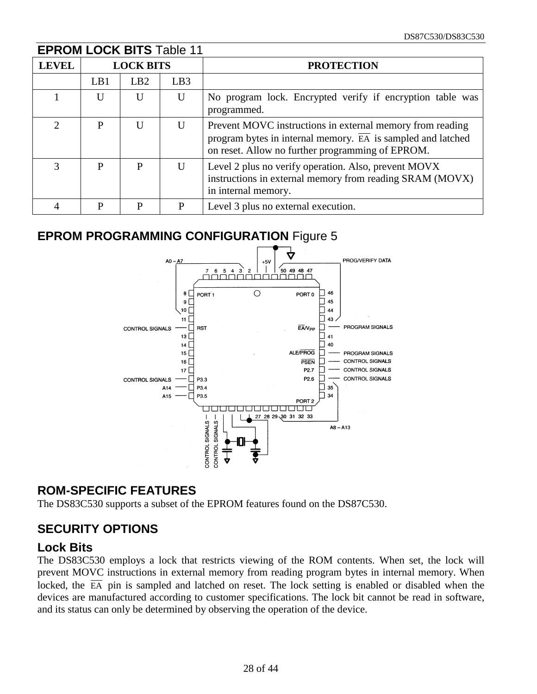| <b>EPROM LOCK BITS Table 11</b> |     |                  |                 |                                                                                                                                                                                           |  |  |  |
|---------------------------------|-----|------------------|-----------------|-------------------------------------------------------------------------------------------------------------------------------------------------------------------------------------------|--|--|--|
| <b>LEVEL</b>                    |     | <b>LOCK BITS</b> |                 | <b>PROTECTION</b>                                                                                                                                                                         |  |  |  |
|                                 | LB1 | LB2              | LB <sub>3</sub> |                                                                                                                                                                                           |  |  |  |
|                                 | U   | U                | $\mathbf{U}$    | No program lock. Encrypted verify if encryption table was<br>programmed.                                                                                                                  |  |  |  |
| っ                               | P   | U                | U               | Prevent MOVC instructions in external memory from reading<br>program bytes in internal memory. $\overline{EA}$ is sampled and latched<br>on reset. Allow no further programming of EPROM. |  |  |  |
| 3                               | P   | P                | U               | Level 2 plus no verify operation. Also, prevent MOVX<br>instructions in external memory from reading SRAM (MOVX)<br>in internal memory.                                                   |  |  |  |
|                                 | P   | P                | P               | Level 3 plus no external execution.                                                                                                                                                       |  |  |  |

### **EPROM PROGRAMMING CONFIGURATION** Figure 5



#### **ROM-SPECIFIC FEATURES**

The DS83C530 supports a subset of the EPROM features found on the DS87C530.

### **SECURITY OPTIONS**

#### **Lock Bits**

The DS83C530 employs a lock that restricts viewing of the ROM contents. When set, the lock will prevent MOVC instructions in external memory from reading program bytes in internal memory. When locked, the  $\overline{EA}$  pin is sampled and latched on reset. The lock setting is enabled or disabled when the devices are manufactured according to customer specifications. The lock bit cannot be read in software, and its status can only be determined by observing the operation of the device.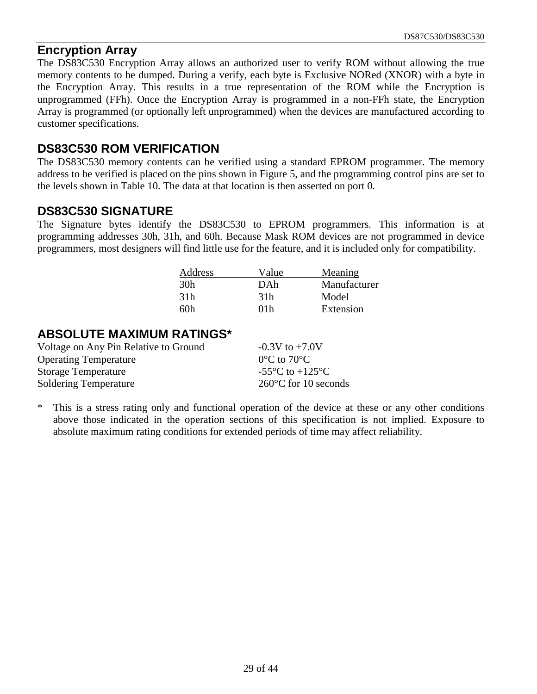#### **Encryption Array**

The DS83C530 Encryption Array allows an authorized user to verify ROM without allowing the true memory contents to be dumped. During a verify, each byte is Exclusive NORed (XNOR) with a byte in the Encryption Array. This results in a true representation of the ROM while the Encryption is unprogrammed (FFh). Once the Encryption Array is programmed in a non-FFh state, the Encryption Array is programmed (or optionally left unprogrammed) when the devices are manufactured according to customer specifications.

#### **DS83C530 ROM VERIFICATION**

The DS83C530 memory contents can be verified using a standard EPROM programmer. The memory address to be verified is placed on the pins shown in Figure 5, and the programming control pins are set to the levels shown in Table 10. The data at that location is then asserted on port 0.

#### **DS83C530 SIGNATURE**

The Signature bytes identify the DS83C530 to EPROM programmers. This information is at programming addresses 30h, 31h, and 60h. Because Mask ROM devices are not programmed in device programmers, most designers will find little use for the feature, and it is included only for compatibility.

| Address         | Value | Meaning      |
|-----------------|-------|--------------|
| 30h             | DAh   | Manufacturer |
| 31 <sub>h</sub> | 31h   | Model        |
| հՈհ             | 01 h  | Extension    |

#### **ABSOLUTE MAXIMUM RATINGS\***

| Voltage on Any Pin Relative to Ground | $-0.3V$ to $+7.0V$                                    |
|---------------------------------------|-------------------------------------------------------|
| <b>Operating Temperature</b>          | $0^{\circ}$ C to 70 $^{\circ}$ C                      |
| Storage Temperature                   | -55 $\mathrm{^{\circ}C}$ to +125 $\mathrm{^{\circ}C}$ |
| <b>Soldering Temperature</b>          | $260^{\circ}$ C for 10 seconds                        |

\* This is a stress rating only and functional operation of the device at these or any other conditions above those indicated in the operation sections of this specification is not implied. Exposure to absolute maximum rating conditions for extended periods of time may affect reliability.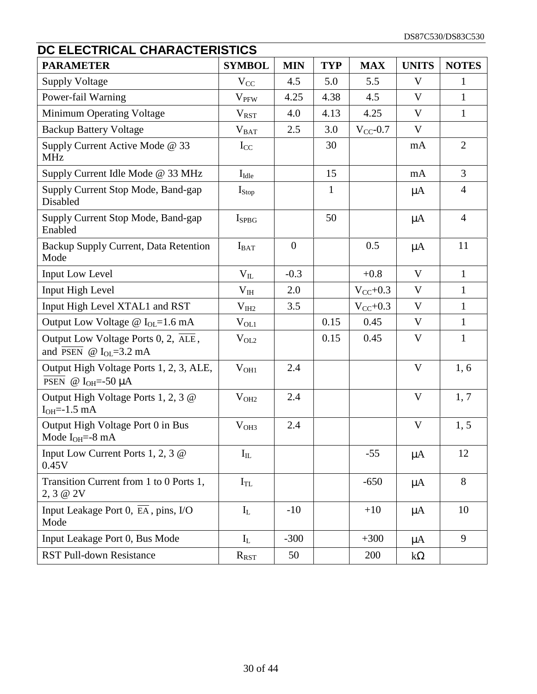| DC ELECTRICAL CHARACTERISTICS                                                    |                   |                |              |               |              |                |  |
|----------------------------------------------------------------------------------|-------------------|----------------|--------------|---------------|--------------|----------------|--|
| <b>PARAMETER</b>                                                                 | <b>SYMBOL</b>     | <b>MIN</b>     | <b>TYP</b>   | <b>MAX</b>    | <b>UNITS</b> | <b>NOTES</b>   |  |
| <b>Supply Voltage</b>                                                            | $V_{CC}$          | 4.5            | 5.0          | 5.5           | V            | 1              |  |
| Power-fail Warning                                                               | $V_{PFW}$         | 4.25           | 4.38         | 4.5           | $\mathbf{V}$ | $\mathbf{1}$   |  |
| Minimum Operating Voltage                                                        | $V_{RST}$         | 4.0            | 4.13         | 4.25          | $\mathbf{V}$ | $\mathbf{1}$   |  |
| <b>Backup Battery Voltage</b>                                                    | $V_{BAT}$         | 2.5            | 3.0          | $V_{CC}$ -0.7 | V            |                |  |
| Supply Current Active Mode @ 33<br><b>MHz</b>                                    | $I_{CC}$          |                | 30           |               | mA           | $\overline{2}$ |  |
| Supply Current Idle Mode @ 33 MHz                                                | $I_{\text{Idle}}$ |                | 15           |               | mA           | $\overline{3}$ |  |
| Supply Current Stop Mode, Band-gap<br>Disabled                                   | $I_{Stop}$        |                | $\mathbf{1}$ |               | $\mu A$      | $\overline{4}$ |  |
| Supply Current Stop Mode, Band-gap<br>Enabled                                    | $I_{SPBG}$        |                | 50           |               | $\mu A$      | $\overline{4}$ |  |
| Backup Supply Current, Data Retention<br>Mode                                    | $I_{BAT}$         | $\overline{0}$ |              | 0.5           | $\mu A$      | 11             |  |
| Input Low Level                                                                  | $V_{IL}$          | $-0.3$         |              | $+0.8$        | $\mathbf{V}$ | $\mathbf{1}$   |  |
| <b>Input High Level</b>                                                          | $\rm V_{IH}$      | 2.0            |              | $V_{CC}+0.3$  | V            | $\mathbf{1}$   |  |
| Input High Level XTAL1 and RST                                                   | $V_{I H2}$        | 3.5            |              | $V_{CC}$ +0.3 | V            | $\mathbf{1}$   |  |
| Output Low Voltage $\omega$ I <sub>OL</sub> =1.6 mA                              | $V_{OL1}$         |                | 0.15         | 0.45          | V            | $\mathbf{1}$   |  |
| Output Low Voltage Ports 0, 2, ALE,<br>and $\overline{PSEN}$ @ $I_{OL} = 3.2$ mA | $V_{OL2}$         |                | 0.15         | 0.45          | V            | $\mathbf{1}$   |  |
| Output High Voltage Ports 1, 2, 3, ALE,<br>PSEN @ $I_{OH} = -50 \mu A$           | $V_{OH1}$         | 2.4            |              |               | V            | 1, 6           |  |
| Output High Voltage Ports 1, 2, 3 @<br>$IOH=-1.5 mA$                             | V <sub>OH2</sub>  | 2.4            |              |               | V            | 1, 7           |  |
| Output High Voltage Port 0 in Bus<br>Mode $I_{OH}=-8$ mA                         | V <sub>OH3</sub>  | 2.4            |              |               | $\mathbf{V}$ | 1, 5           |  |
| Input Low Current Ports 1, 2, 3 $\omega$<br>0.45V                                | $I_{IL}$          |                |              | $-55$         | $\mu A$      | 12             |  |
| Transition Current from 1 to 0 Ports 1,<br>2, 3 @ 2V                             | $I_{TL}$          |                |              | $-650$        | $\mu A$      | 8              |  |
| Input Leakage Port 0, $\overline{EA}$ , pins, I/O<br>Mode                        | $I_{L}$           | $-10$          |              | $+10$         | $\mu A$      | 10             |  |
| Input Leakage Port 0, Bus Mode                                                   | $I_L$             | $-300$         |              | $+300$        | $\mu A$      | 9              |  |
| <b>RST Pull-down Resistance</b>                                                  | $R_{RST}$         | 50             |              | 200           | $k\Omega$    |                |  |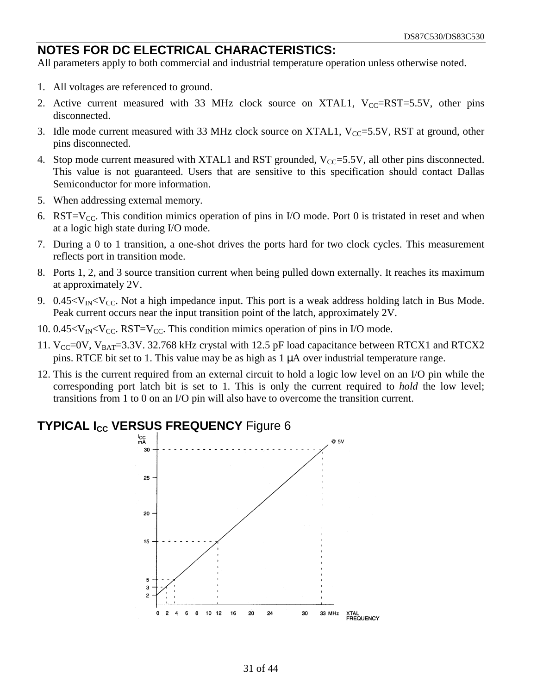#### **NOTES FOR DC ELECTRICAL CHARACTERISTICS:**

All parameters apply to both commercial and industrial temperature operation unless otherwise noted.

- 1. All voltages are referenced to ground.
- 2. Active current measured with 33 MHz clock source on XTAL1,  $V_{CC}=RST=5.5V$ , other pins disconnected.
- 3. Idle mode current measured with 33 MHz clock source on XTAL1,  $V_{CC}$ =5.5V, RST at ground, other pins disconnected.
- 4. Stop mode current measured with XTAL1 and RST grounded,  $V_{CC} = 5.5V$ , all other pins disconnected. This value is not guaranteed. Users that are sensitive to this specification should contact Dallas Semiconductor for more information.
- 5. When addressing external memory.
- 6. RST= $V_{CC}$ . This condition mimics operation of pins in I/O mode. Port 0 is tristated in reset and when at a logic high state during I/O mode.
- 7. During a 0 to 1 transition, a one-shot drives the ports hard for two clock cycles. This measurement reflects port in transition mode.
- 8. Ports 1, 2, and 3 source transition current when being pulled down externally. It reaches its maximum at approximately 2V.
- 9.  $0.45 < V_{IN} < V_{CC}$ . Not a high impedance input. This port is a weak address holding latch in Bus Mode. Peak current occurs near the input transition point of the latch, approximately 2V.
- 10.  $0.45 < V_{IN} < V_{CC}$ . RST=V<sub>CC</sub>. This condition mimics operation of pins in I/O mode.
- 11.  $V_{CC}=0V$ ,  $V_{BAT}=3.3V$ . 32.768 kHz crystal with 12.5 pF load capacitance between RTCX1 and RTCX2 pins. RTCE bit set to 1. This value may be as high as 1 µA over industrial temperature range.
- 12. This is the current required from an external circuit to hold a logic low level on an I/O pin while the corresponding port latch bit is set to 1. This is only the current required to *hold* the low level; transitions from 1 to 0 on an I/O pin will also have to overcome the transition current.

#### **TYPICAL I<sub>CC</sub> VERSUS FREQUENCY** Figure 6

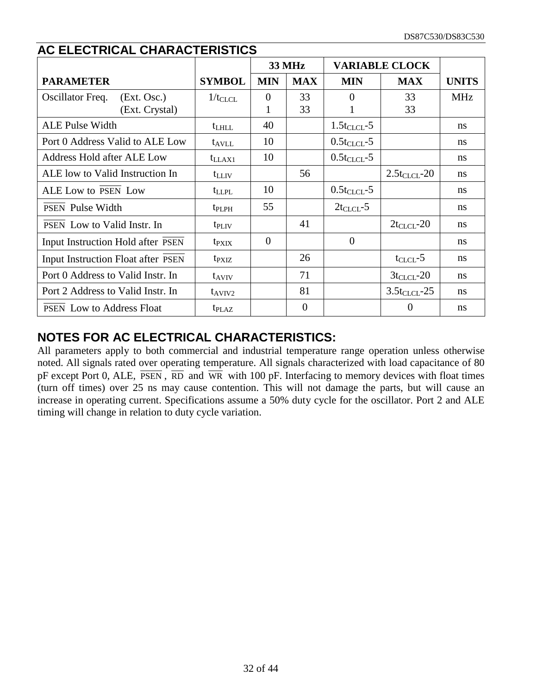|                                    |                   | <b>33 MHz</b>    |                | <b>VARIABLE CLOCK</b> |                   |               |
|------------------------------------|-------------------|------------------|----------------|-----------------------|-------------------|---------------|
| <b>PARAMETER</b>                   | <b>SYMBOL</b>     | <b>MIN</b>       | <b>MAX</b>     | <b>MIN</b>            | <b>MAX</b>        | <b>UNITS</b>  |
| Oscillator Freq.<br>(Ext. Osc.)    | $1/t_{CLCL}$      | $\boldsymbol{0}$ | 33             | $\Omega$              | 33                | <b>MHz</b>    |
| (Ext. Crystal)                     |                   | 1                | 33             |                       | 33                |               |
| <b>ALE Pulse Width</b>             | $t_{LHLL}$        | 40               |                | $1.5t_{CLCL}$ -5      |                   | ns            |
| Port 0 Address Valid to ALE Low    | $t_{AVLL}$        | 10               |                | $0.5t_{CLCL}$ -5      |                   | ns            |
| <b>Address Hold after ALE Low</b>  | $t_{LLAX1}$       | 10               |                | $0.5t_{CLCL}$ -5      |                   | ns            |
| ALE low to Valid Instruction In    | $t_{LLIV}$        |                  | 56             |                       | $2.5t_{CLCL}$ -20 | <sub>ns</sub> |
| ALE Low to PSEN Low                | $t_{LLPL}$        | 10               |                | $0.5t_{CLCL}$ -5      |                   | ns            |
| <b>PSEN</b> Pulse Width            | $t_{\rm PLPH}$    | 55               |                | $2t_{CLCL} - 5$       |                   | ns            |
| PSEN Low to Valid Instr. In        | $t_{\rm PLIV}$    |                  | 41             |                       | $2t_{CLCL}$ -20   | ns            |
| Input Instruction Hold after PSEN  | $t_{\rm P XIX}$   | $\Omega$         |                | $\overline{0}$        |                   | ns            |
| Input Instruction Float after PSEN | $t_{\rm PXIZ}$    |                  | 26             |                       | $t_{CLCL}$ -5     | ns            |
| Port 0 Address to Valid Instr. In  | $t_{AVIV}$        |                  | 71             |                       | $3t_{CLCL}$ -20   | ns            |
| Port 2 Address to Valid Instr. In  | $t_{AVIV2}$       |                  | 81             |                       | $3.5t_{CLCL}$ -25 | ns            |
| <b>PSEN</b> Low to Address Float   | t <sub>plaz</sub> |                  | $\overline{0}$ |                       | $\mathbf{0}$      | ns            |

#### **AC ELECTRICAL CHARACTERISTICS**

#### **NOTES FOR AC ELECTRICAL CHARACTERISTICS:**

All parameters apply to both commercial and industrial temperature range operation unless otherwise noted. All signals rated over operating temperature. All signals characterized with load capacitance of 80 pF except Port 0, ALE,  $\overline{PSEN}$ ,  $\overline{RD}$  and  $\overline{WR}$  with 100 pF. Interfacing to memory devices with float times (turn off times) over 25 ns may cause contention. This will not damage the parts, but will cause an increase in operating current. Specifications assume a 50% duty cycle for the oscillator. Port 2 and ALE timing will change in relation to duty cycle variation.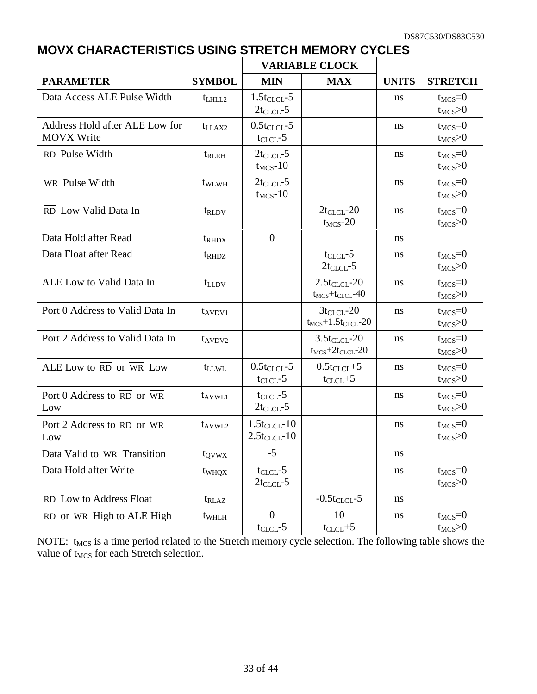|                                                             | <b>MOVX CHARACTERISTICS USING STRETCH MEMORY CYCLES</b> |                                        |                                                  |              |                              |  |  |
|-------------------------------------------------------------|---------------------------------------------------------|----------------------------------------|--------------------------------------------------|--------------|------------------------------|--|--|
|                                                             |                                                         |                                        | <b>VARIABLE CLOCK</b>                            |              |                              |  |  |
| <b>PARAMETER</b>                                            | <b>SYMBOL</b>                                           | <b>MIN</b>                             | <b>MAX</b>                                       | <b>UNITS</b> | <b>STRETCH</b>               |  |  |
| Data Access ALE Pulse Width                                 | $t$ LHLL2                                               | $1.5t_{CLCL}$ -5<br>$2t_{CLCL} - 5$    |                                                  | ns           | $t_{MCS}=0$<br>$t_{MCS}$ >0  |  |  |
| Address Hold after ALE Low for<br><b>MOVX Write</b>         | $t_{LLAX2}$                                             | $0.5t_{CLCL}$ -5<br>$t_{CLCL}$ -5      |                                                  | ns           | $t_{MCS}=0$<br>$t_{MCS} > 0$ |  |  |
| RD Pulse Width                                              | $t_{RLRH}$                                              | $2t_{CLCL} - 5$<br>$t_{MCS}$ -10       |                                                  | ns           | $t_{MCS}=0$<br>$t_{MCS}$ >0  |  |  |
| $\overline{\text{WR}}$ Pulse Width                          | twLWH                                                   | $2t_{CLCL} - 5$<br>$t_{MCS}$ -10       |                                                  | ns           | $t_{MCS}=0$<br>$t_{MCS}$ >0  |  |  |
| RD Low Valid Data In                                        | t <sub>RLDV</sub>                                       |                                        | $2t_{CLCL}$ -20<br>$t_{MCS}$ -20                 | ns           | $t_{MCS}=0$<br>$t_{MCS}$ >0  |  |  |
| Data Hold after Read                                        | t <sub>RHDX</sub>                                       | $\overline{0}$                         |                                                  | ns           |                              |  |  |
| Data Float after Read                                       | $t_{\rm RHDZ}$                                          |                                        | $t_{CLCL}$ -5<br>$2t_{CLCL}$ -5                  | ns           | $t_{MCS}=0$<br>$t_{MCS}$ >0  |  |  |
| ALE Low to Valid Data In                                    | $t_{LLDV}$                                              |                                        | $2.5t_{CLCL}$ -20<br>$t_{MCS}+t_{CLCL}-40$       | ns           | $t_{MCS}=0$<br>$t_{MCS}$ >0  |  |  |
| Port 0 Address to Valid Data In                             | $t_{AVDV1}$                                             |                                        | $3t_{CLCL}$ -20<br>$t_{MCS}+1.5t_{CLCL}$ -20     | ns           | $t_{MCS}=0$<br>$t_{MCS}$ >0  |  |  |
| Port 2 Address to Valid Data In                             | $t_{AVDV2}$                                             |                                        | $3.5t_{CLCL}$ -20<br>$t_{MCS}$ +2 $t_{CLCL}$ -20 | ns           | $t_{MCS}=0$<br>$t_{MCS}$ >0  |  |  |
| ALE Low to RD or WR Low                                     | $t_{LLWL}$                                              | $0.5t_{CLCL}$ -5<br>$t_{CLCL}$ -5      | $0.5t_{CLCL}+5$<br>$t_{CLCL}+5$                  | ns           | $t_{MCS}=0$<br>$t_{MCS}$ >0  |  |  |
| Port 0 Address to $\overline{RD}$ or $\overline{WR}$<br>Low | $t_{AVWLI}$                                             | $t_{CLCL}$ -5<br>$2t_{CLCL} - 5$       |                                                  | ns           | $t_{MCS}=0$<br>$t_{MCS}$ >0  |  |  |
| Port 2 Address to $\overline{RD}$ or WR<br>Low              | $t_{AVWL2}$                                             | $1.5t_{CLCL}$ -10<br>$2.5t_{CLCL}$ -10 |                                                  | ns           | $t_{MCS}=0$<br>$t_{MCS}$ >0  |  |  |
| Data Valid to WR Transition                                 | t <sub>ovwx</sub>                                       | $-5$                                   |                                                  | ns           |                              |  |  |
| Data Hold after Write                                       | $t_{WHQX}$                                              | $t_{CLCL}$ -5<br>$2t_{CLCL} - 5$       |                                                  | ns           | $t_{MCS}=0$<br>$t_{MCS}$ >0  |  |  |
| RD Low to Address Float                                     | $t_{RLAZ}$                                              |                                        | $-0.5t_{CLCL}$ -5                                | ns           |                              |  |  |
| $\overline{RD}$ or $\overline{WR}$ High to ALE High         | twhLH                                                   | $\overline{0}$<br>$t_{CLCL}$ -5        | 10<br>$t_{CLCL} + 5$                             | ns           | $t_{MCS}=0$<br>$t_{MCS}$ >0  |  |  |

NOTE: t<sub>MCS</sub> is a time period related to the Stretch memory cycle selection. The following table shows the value of t<sub>MCS</sub> for each Stretch selection.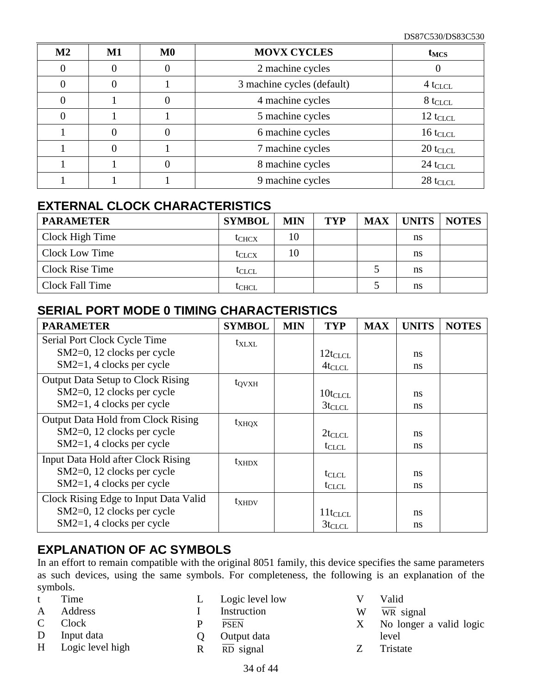| $\mathbf{M2}$ | $M1$ | $\bf M0$ | <b>MOVX CYCLES</b>         | $t_{MCS}$              |
|---------------|------|----------|----------------------------|------------------------|
|               |      |          | 2 machine cycles           |                        |
|               |      |          | 3 machine cycles (default) | $4 t_{CLCL}$           |
|               |      |          | 4 machine cycles           | $8$ t <sub>CLCL</sub>  |
|               |      |          | 5 machine cycles           | $12 t_{CLCL}$          |
|               |      |          | 6 machine cycles           | $16 t_{CLCL}$          |
|               |      |          | 7 machine cycles           | $20 t_{CLCL}$          |
|               |      |          | 8 machine cycles           | $24$ t <sub>CLCL</sub> |
|               |      |          | 9 machine cycles           | $28$ t <sub>CLCL</sub> |

#### **EXTERNAL CLOCK CHARACTERISTICS**

| <b>PARAMETER</b>       | <b>SYMBOL</b>     | <b>MIN</b> | <b>TYP</b> | <b>MAX</b> | <b>UNITS</b> | <b>NOTES</b> |
|------------------------|-------------------|------------|------------|------------|--------------|--------------|
| Clock High Time        | t <sub>CHCX</sub> | 10         |            |            | ns           |              |
| Clock Low Time         | $t_{\rm CLCX}$    | 10         |            |            | ns           |              |
| <b>Clock Rise Time</b> | $t_{CLCL}$        |            |            |            | ns           |              |
| Clock Fall Time        | tchcl             |            |            |            | ns           |              |

#### **SERIAL PORT MODE 0 TIMING CHARACTERISTICS**

| <b>PARAMETER</b>                          | <b>SYMBOL</b>     | <b>MIN</b> | <b>TYP</b>   | <b>MAX</b> | <b>UNITS</b> | <b>NOTES</b> |
|-------------------------------------------|-------------------|------------|--------------|------------|--------------|--------------|
| Serial Port Clock Cycle Time              | $t_{\text{XLXL}}$ |            |              |            |              |              |
| SM2=0, 12 clocks per cycle                |                   |            | $12t_{CLCL}$ |            | ns           |              |
| SM2=1, 4 clocks per cycle                 |                   |            | $4t_{CLCL}$  |            | ns           |              |
| <b>Output Data Setup to Clock Rising</b>  | $t_{\rm QVXH}$    |            |              |            |              |              |
| SM2=0, 12 clocks per cycle                |                   |            | $10t_{CLCL}$ |            | ns           |              |
| SM2=1, 4 clocks per cycle                 |                   |            | $3t_{CLCL}$  |            | ns           |              |
| <b>Output Data Hold from Clock Rising</b> | $t_{XHQX}$        |            |              |            |              |              |
| $SM2=0$ , 12 clocks per cycle             |                   |            | $2t_{CLCL}$  |            | ns           |              |
| $SM2=1, 4$ clocks per cycle               |                   |            | $t_{CLCL}$   |            | ns           |              |
| Input Data Hold after Clock Rising        | $t_{XHDX}$        |            |              |            |              |              |
| SM2=0, 12 clocks per cycle                |                   |            | $t_{CLCL}$   |            | ns           |              |
| $SM2=1, 4$ clocks per cycle               |                   |            | $t_{CLCL}$   |            | ns           |              |
| Clock Rising Edge to Input Data Valid     | $t_{XHDV}$        |            |              |            |              |              |
| SM2=0, 12 clocks per cycle                |                   |            | $11t_{CLCL}$ |            | ns           |              |
| $SM2=1, 4$ clocks per cycle               |                   |            | $3t_{CLCL}$  |            | ns           |              |

#### **EXPLANATION OF AC SYMBOLS**

In an effort to remain compatible with the original 8051 family, this device specifies the same parameters as such devices, using the same symbols. For completeness, the following is an explanation of the symbols.

- t Time
- A Address
- C Clock
- D Input data
- H Logic level high
- L Logic level low
- I Instruction
- P PSEN
- Q Output data
- $R \overline{RD}$  signal
- V Valid
- W WR signal
- X No longer a valid logic level
- Z Tristate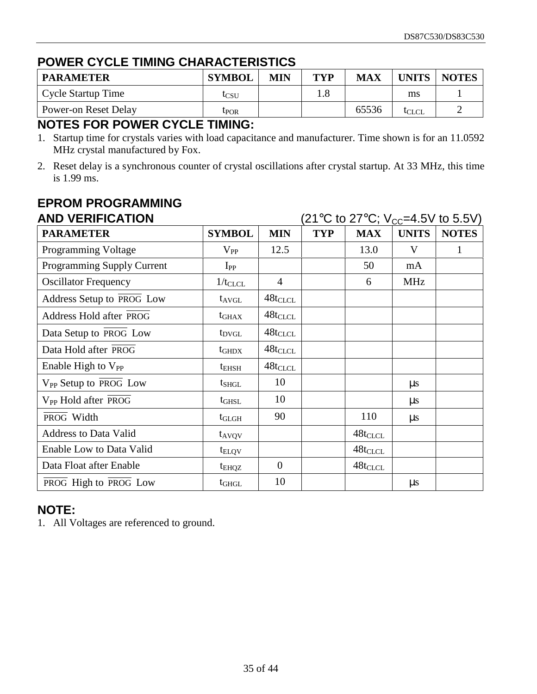#### **POWER CYCLE TIMING CHARACTERISTICS**

| <b>PARAMETER</b>     | <b>SYMBOL</b> | <b>MIN</b> | TYP | MAX   | <b>UNITS</b> | <b>NOTES</b> |
|----------------------|---------------|------------|-----|-------|--------------|--------------|
| Cycle Startup Time   | tcsu          |            | 1.8 |       | ms           |              |
| Power-on Reset Delay | UPOR          |            |     | 65536 | lcl ci       |              |

#### **NOTES FOR POWER CYCLE TIMING:**

- 1. Startup time for crystals varies with load capacitance and manufacturer. Time shown is for an 11.0592 MHz crystal manufactured by Fox.
- 2. Reset delay is a synchronous counter of crystal oscillations after crystal startup. At 33 MHz, this time is 1.99 ms.

| <b>AND VERIFICATION</b>                 | (21°C to 27°C; V <sub>cc</sub> =4.5V to 5.5V) |                |            |              |              |              |
|-----------------------------------------|-----------------------------------------------|----------------|------------|--------------|--------------|--------------|
| <b>PARAMETER</b>                        | <b>SYMBOL</b>                                 | <b>MIN</b>     | <b>TYP</b> | <b>MAX</b>   | <b>UNITS</b> | <b>NOTES</b> |
| Programming Voltage                     | $\rm V_{PP}$                                  | 12.5           |            | 13.0         | V            | 1            |
| Programming Supply Current              | $I_{PP}$                                      |                |            | 50           | mA           |              |
| <b>Oscillator Frequency</b>             | $1/t_{CLCL}$                                  | $\overline{4}$ |            | 6            | <b>MHz</b>   |              |
| Address Setup to PROG Low               | $t_{AVGL}$                                    | $48t_{CLCL}$   |            |              |              |              |
| Address Hold after PROG                 | $t_{\rm GHAX}$                                | $48t_{CLCL}$   |            |              |              |              |
| Data Setup to PROG Low                  | $t_{\rm DVGL}$                                | $48t_{CLCL}$   |            |              |              |              |
| Data Hold after PROG                    | $t_{\rm GHDX}$                                | $48t_{CLCL}$   |            |              |              |              |
| Enable High to $V_{PP}$                 | $t_{EHSH}$                                    | $48t_{CLCL}$   |            |              |              |              |
| $V_{PP}$ Setup to $\overline{PROG}$ Low | $t_{SHGL}$                                    | 10             |            |              | $\mu$ s      |              |
| V <sub>PP</sub> Hold after PROG         | $t_{\text{GHSL}}$                             | 10             |            |              | $\mu$ s      |              |
| PROG Width                              | $t_{\rm GLGH}$                                | 90             |            | 110          | $\mu$ s      |              |
| <b>Address to Data Valid</b>            | $t_{AVQV}$                                    |                |            | $48t_{CLCL}$ |              |              |
| Enable Low to Data Valid                | $t_{\text{ELOV}}$                             |                |            | $48t_{CLCL}$ |              |              |
| Data Float after Enable                 | $t_{EHQZ}$                                    | $\overline{0}$ |            | $48t_{CLCL}$ |              |              |
| PROG High to PROG Low                   | $t_{GHGL}$                                    | 10             |            |              | $\mu s$      |              |

## **EPROM PROGRAMMING**

#### **NOTE:**

1. All Voltages are referenced to ground.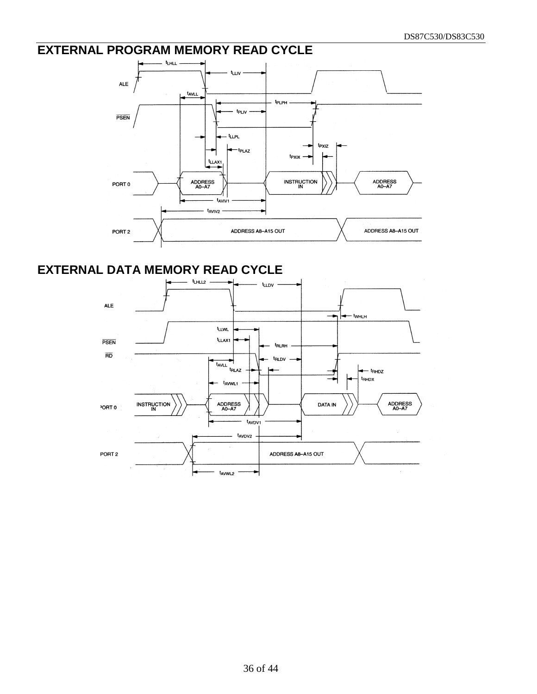### **EXTERNAL PROGRAM MEMORY READ CYCLE**



#### **EXTERNAL DATA MEMORY READ CYCLE**

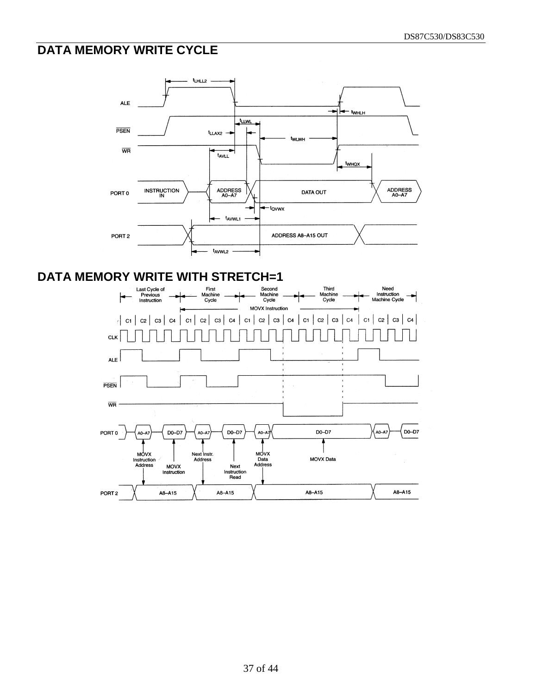#### **DATA MEMORY WRITE CYCLE**



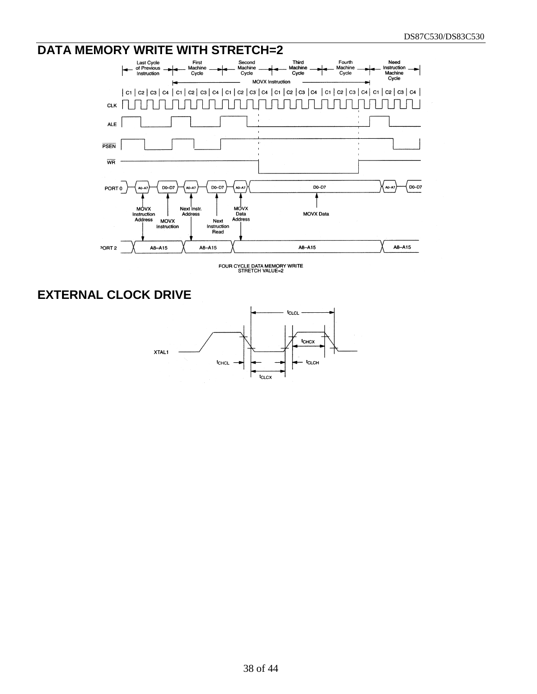#### DATA MEMORY WRITE WITH STRETCH=2 First<br>Machine Second<br>Machine Third<br>Machine Fourth<br>Machine<br>Cycle Need<br>Instruction<br>Machine Cycle Cycle Cycle Cycle MOVX Instruction | C1 | C2 | C3 | C4 | C1 | C2 | C3 | C4 | C1 | C2 | C3 | C4 | C1 | C2 | C3 | C4 | C1 | C2 | C3 | C4 | C1 | C2 | C3 | C4 | <u>UUUTUTUTUTUTU</u> CLK  $\Box$ Tana di Tanzania ח ר T **ALE PSEN**  $\overline{\mathsf{WR}}$  $A0-A7$  $\int$  DO-D7 PORT 0 DO-D7 D0-D7 DO-D7 ۸ MOVX<br>Instruction<br>Address **MOVX** Next Instr. **MOVX Data** Data **Address** MOVX<br>Instruction Address Next Instruction<br>Read A8-A15 A8-A15 PORT<sub>2</sub> A8-A15 A8-A15

FOUR CYCLE DATA MEMORY WRITE<br>STRETCH VALUE=2

### **EXTERNAL CLOCK DRIVE**

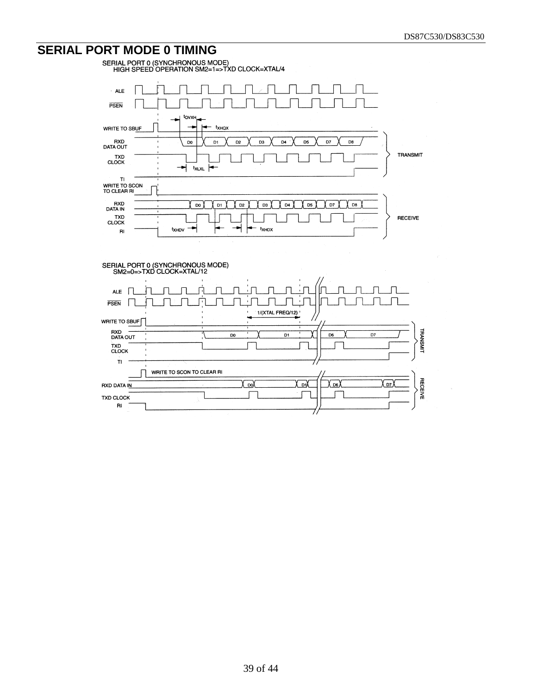# **SERIAL PORT MODE 0 TIMING**<br>
SERIAL PORT 0 (SYNCHRONOUS MODE)<br>
HIGH SPEED OPERATION SM2=1=>TXD CLOCK=XTAL/4

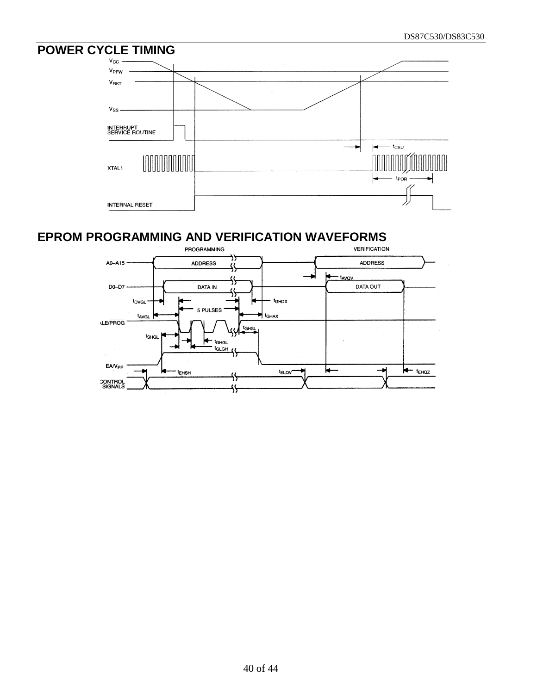# **POWER CYCLE TIMING**



# **EPROM PROGRAMMING AND VERIFICATION WAVEFORMS**

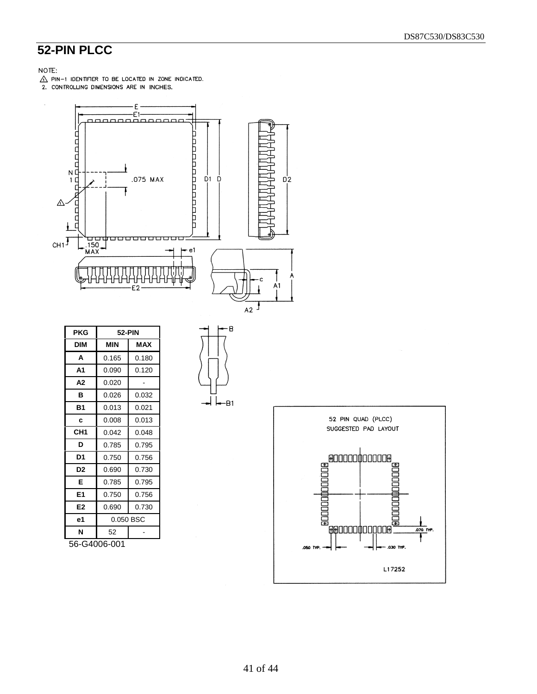# **52-PIN PLCC**

#### NOTE:

 $\hat{\triangle}$  PIN-1 IDENTIFIER TO BE LOCATED IN ZONE INDICATED.<br>2. CONTROLLING DIMENSIONS ARE IN INCHES.



| PKG             | 52-PIN     |            |  |  |  |
|-----------------|------------|------------|--|--|--|
| <b>DIM</b>      | <b>MIN</b> | <b>MAX</b> |  |  |  |
| A               | 0.165      | 0.180      |  |  |  |
| A1              | 0.090      | 0.120      |  |  |  |
| А2              | 0.020      |            |  |  |  |
| в               | 0.026      | 0.032      |  |  |  |
| Β1              | 0.013      | 0.021      |  |  |  |
| c               | 0.008      | 0.013      |  |  |  |
| CH <sub>1</sub> | 0.042      | 0.048      |  |  |  |
| D               | 0.785      | 0.795      |  |  |  |
| D1              | 0.750      | 0.756      |  |  |  |
| D <sub>2</sub>  | 0.690      | 0.730      |  |  |  |
| Е               | 0.785      | 0.795      |  |  |  |
| E1              | 0.750      | 0.756      |  |  |  |
| E2              | 0.690      | 0.730      |  |  |  |
| е1              | 0.050 BSC  |            |  |  |  |
| N               | 52         |            |  |  |  |

56-G4006-001



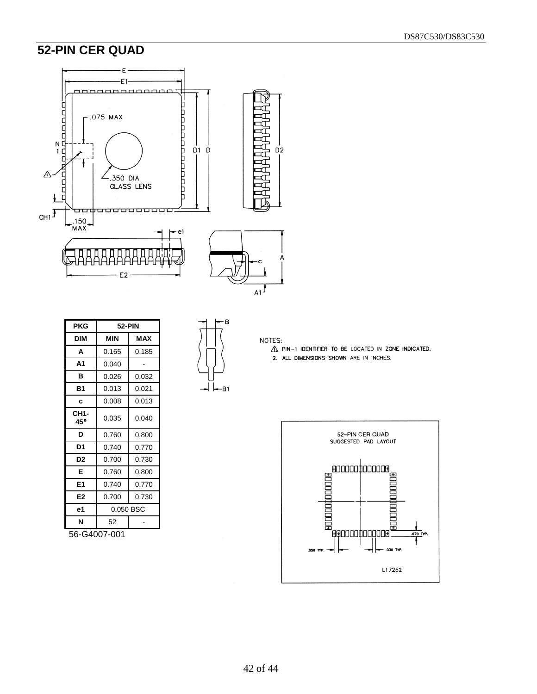#### DS87C530/DS83C530

## **52-PIN CER QUAD**



| PKG            | <b>52-PIN</b> |            |  |  |  |
|----------------|---------------|------------|--|--|--|
| <b>DIM</b>     | MIN           | <b>MAX</b> |  |  |  |
| A              | 0.165         | 0.185      |  |  |  |
| A1             | 0.040         |            |  |  |  |
| в              | 0.026         | 0.032      |  |  |  |
| <b>B1</b>      | 0.013         | 0.021      |  |  |  |
| c              | 0.008         | 0.013      |  |  |  |
| CH1-<br>45°    | 0.035         | 0.040      |  |  |  |
| D              | 0.760         | 0.800      |  |  |  |
| D1             | 0.740         | 0.770      |  |  |  |
| D <sub>2</sub> | 0.700         | 0.730      |  |  |  |
| Е              | 0.760         | 0.800      |  |  |  |
| E1             | 0.740         | 0.770      |  |  |  |
| E2             | 0.700         | 0.730      |  |  |  |
| e1             | 0.050 BSC     |            |  |  |  |
| N              | 52            |            |  |  |  |

56-G4007-001



NOTES:

 $\triangle$  PIN-1 IDENTIFIER TO BE LOCATED IN ZONE INDICATED. 2. ALL DIMENSIONS SHOWN ARE IN INCHES.

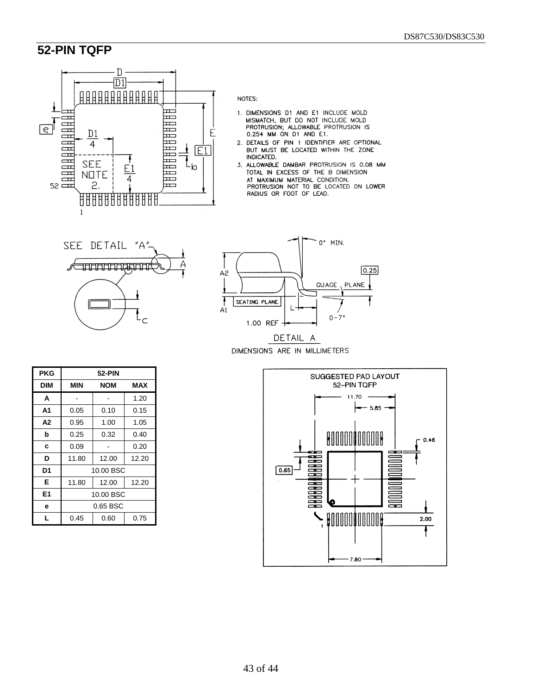#### **52-PIN TQFP**



NOTES:

- 1. DIMENSIONS D1 AND E1 INCLUDE MOLD MISMATCH, BUT D0 NOT INCLUDE MOLD PROTRUSION; ALLOWABLE PROTRUSION IS 0.254 MM ON D1 AND E1.
- 2. DETAILS OF PIN 1 IDENTIFIER ARE OPTIONAL<br>BUT MUST BE LOCATED WITHIN THE ZONE INDICATED.
- 3. ALLOWABLE DAMBAR PROTRUSION IS 0.08 MM TOTAL IN EXCESS OF THE B DIMENSION TOTAL IN EXAMINE MATERIAL CONDITION.<br>AT MAXIMUM MATERIAL CONDITION.<br>PROTRUSION NOT TO BE LOCATED ON LOWER<br>RADIUS OR FOOT OF LEAD.



| <b>PKG</b>     | 52-PIN    |           |       |  |  |  |
|----------------|-----------|-----------|-------|--|--|--|
| DIM            | MIN       | NOM       | MAX   |  |  |  |
| A              |           |           | 1.20  |  |  |  |
| Α1             | 0.05      | 0.10      | 0.15  |  |  |  |
| A <sub>2</sub> | 0.95      | 1.00      | 1.05  |  |  |  |
| b              | 0.25      | 0.32      | 0.40  |  |  |  |
| c              | 0.09      |           | 0.20  |  |  |  |
| D              | 11.80     | 12.00     | 12.20 |  |  |  |
| D1             |           | 10.00 BSC |       |  |  |  |
| Е              | 11.80     | 12.00     | 12.20 |  |  |  |
| E1             | 10.00 BSC |           |       |  |  |  |
| е              | 0.65 BSC  |           |       |  |  |  |
| L              | 0.45      | 0.60      | 0.75  |  |  |  |